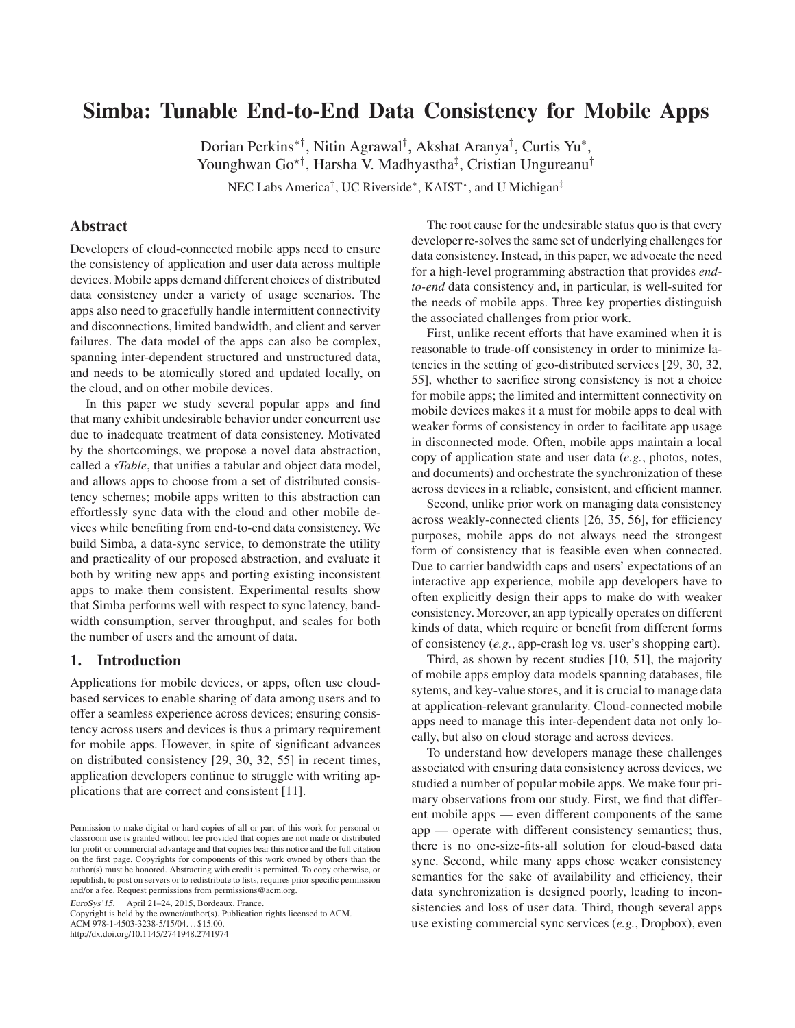# Simba: Tunable End-to-End Data Consistency for Mobile Apps

Dorian Perkins∗†, Nitin Agrawal† , Akshat Aranya† , Curtis Yu<sup>∗</sup> , Younghwan Go<sup>\*†</sup>, Harsha V. Madhyastha<sup>‡</sup>, Cristian Ungureanu<sup>†</sup>

NEC Labs America<sup>†</sup>, UC Riverside<sup>\*</sup>, KAIST<sup>\*</sup>, and U Michigan<sup>‡</sup>

# Abstract

Developers of cloud-connected mobile apps need to ensure the consistency of application and user data across multiple devices. Mobile apps demand different choices of distributed data consistency under a variety of usage scenarios. The apps also need to gracefully handle intermittent connectivity and disconnections, limited bandwidth, and client and server failures. The data model of the apps can also be complex, spanning inter-dependent structured and unstructured data, and needs to be atomically stored and updated locally, on the cloud, and on other mobile devices.

In this paper we study several popular apps and find that many exhibit undesirable behavior under concurrent use due to inadequate treatment of data consistency. Motivated by the shortcomings, we propose a novel data abstraction, called a *sTable*, that unifies a tabular and object data model, and allows apps to choose from a set of distributed consistency schemes; mobile apps written to this abstraction can effortlessly sync data with the cloud and other mobile devices while benefiting from end-to-end data consistency. We build Simba, a data-sync service, to demonstrate the utility and practicality of our proposed abstraction, and evaluate it both by writing new apps and porting existing inconsistent apps to make them consistent. Experimental results show that Simba performs well with respect to sync latency, bandwidth consumption, server throughput, and scales for both the number of users and the amount of data.

### 1. Introduction

Applications for mobile devices, or apps, often use cloudbased services to enable sharing of data among users and to offer a seamless experience across devices; ensuring consistency across users and devices is thus a primary requirement for mobile apps. However, in spite of significant advances on distributed consistency [29, 30, 32, 55] in recent times, application developers continue to struggle with writing applications that are correct and consistent [11].

EuroSys'15, April 21–24, 2015, Bordeaux, France.

Copyright is held by the owner/author(s). Publication rights licensed to ACM. ACM 978-1-4503-3238-5/15/04. . . \$15.00. http://dx.doi.org/10.1145/2741948.2741974

The root cause for the undesirable status quo is that every developer re-solves the same set of underlying challenges for data consistency. Instead, in this paper, we advocate the need for a high-level programming abstraction that provides *endto-end* data consistency and, in particular, is well-suited for the needs of mobile apps. Three key properties distinguish the associated challenges from prior work.

First, unlike recent efforts that have examined when it is reasonable to trade-off consistency in order to minimize latencies in the setting of geo-distributed services [29, 30, 32, 55], whether to sacrifice strong consistency is not a choice for mobile apps; the limited and intermittent connectivity on mobile devices makes it a must for mobile apps to deal with weaker forms of consistency in order to facilitate app usage in disconnected mode. Often, mobile apps maintain a local copy of application state and user data (*e.g.*, photos, notes, and documents) and orchestrate the synchronization of these across devices in a reliable, consistent, and efficient manner.

Second, unlike prior work on managing data consistency across weakly-connected clients [26, 35, 56], for efficiency purposes, mobile apps do not always need the strongest form of consistency that is feasible even when connected. Due to carrier bandwidth caps and users' expectations of an interactive app experience, mobile app developers have to often explicitly design their apps to make do with weaker consistency. Moreover, an app typically operates on different kinds of data, which require or benefit from different forms of consistency (*e.g.*, app-crash log vs. user's shopping cart).

Third, as shown by recent studies [10, 51], the majority of mobile apps employ data models spanning databases, file sytems, and key-value stores, and it is crucial to manage data at application-relevant granularity. Cloud-connected mobile apps need to manage this inter-dependent data not only locally, but also on cloud storage and across devices.

To understand how developers manage these challenges associated with ensuring data consistency across devices, we studied a number of popular mobile apps. We make four primary observations from our study. First, we find that different mobile apps — even different components of the same app — operate with different consistency semantics; thus, there is no one-size-fits-all solution for cloud-based data sync. Second, while many apps chose weaker consistency semantics for the sake of availability and efficiency, their data synchronization is designed poorly, leading to inconsistencies and loss of user data. Third, though several apps use existing commercial sync services (*e.g.*, Dropbox), even

Permission to make digital or hard copies of all or part of this work for personal or classroom use is granted without fee provided that copies are not made or distributed for profit or commercial advantage and that copies bear this notice and the full citation on the first page. Copyrights for components of this work owned by others than the author(s) must be honored. Abstracting with credit is permitted. To copy otherwise, or republish, to post on servers or to redistribute to lists, requires prior specific permission and/or a fee. Request permissions from permissions@acm.org.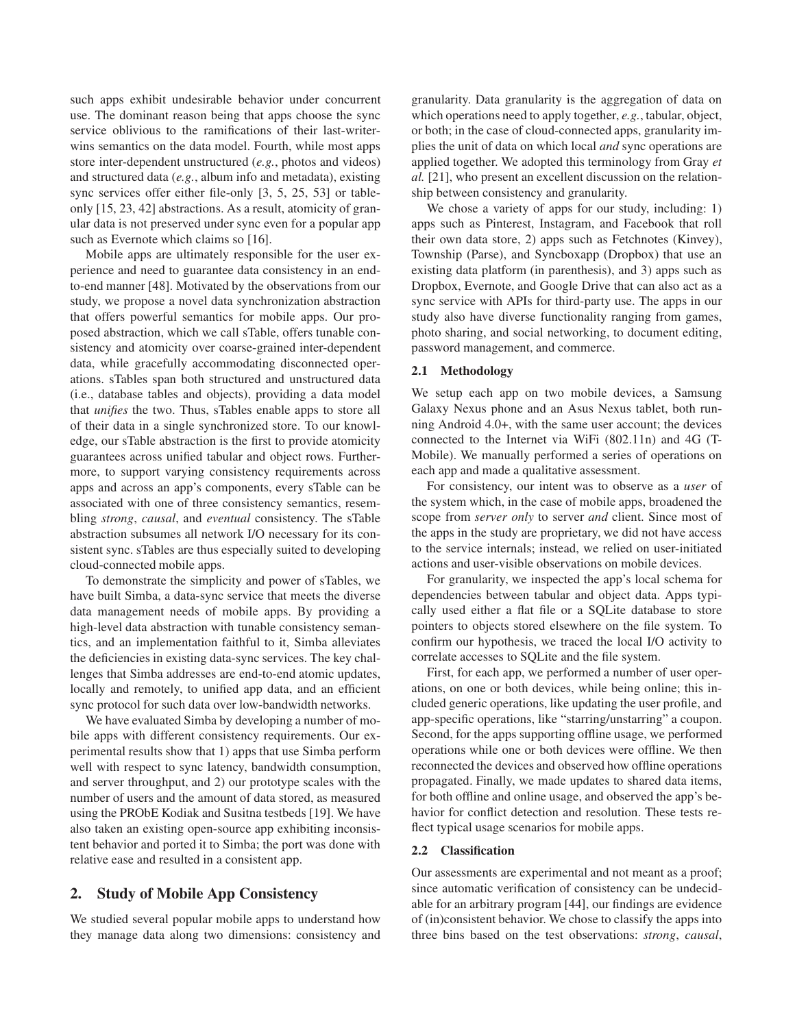such apps exhibit undesirable behavior under concurrent use. The dominant reason being that apps choose the sync service oblivious to the ramifications of their last-writerwins semantics on the data model. Fourth, while most apps store inter-dependent unstructured (*e.g.*, photos and videos) and structured data (*e.g.*, album info and metadata), existing sync services offer either file-only [3, 5, 25, 53] or tableonly [15, 23, 42] abstractions. As a result, atomicity of granular data is not preserved under sync even for a popular app such as Evernote which claims so [16].

Mobile apps are ultimately responsible for the user experience and need to guarantee data consistency in an endto-end manner [48]. Motivated by the observations from our study, we propose a novel data synchronization abstraction that offers powerful semantics for mobile apps. Our proposed abstraction, which we call sTable, offers tunable consistency and atomicity over coarse-grained inter-dependent data, while gracefully accommodating disconnected operations. sTables span both structured and unstructured data (i.e., database tables and objects), providing a data model that *unifies* the two. Thus, sTables enable apps to store all of their data in a single synchronized store. To our knowledge, our sTable abstraction is the first to provide atomicity guarantees across unified tabular and object rows. Furthermore, to support varying consistency requirements across apps and across an app's components, every sTable can be associated with one of three consistency semantics, resembling *strong*, *causal*, and *eventual* consistency. The sTable abstraction subsumes all network I/O necessary for its consistent sync. sTables are thus especially suited to developing cloud-connected mobile apps.

To demonstrate the simplicity and power of sTables, we have built Simba, a data-sync service that meets the diverse data management needs of mobile apps. By providing a high-level data abstraction with tunable consistency semantics, and an implementation faithful to it, Simba alleviates the deficiencies in existing data-sync services. The key challenges that Simba addresses are end-to-end atomic updates, locally and remotely, to unified app data, and an efficient sync protocol for such data over low-bandwidth networks.

We have evaluated Simba by developing a number of mobile apps with different consistency requirements. Our experimental results show that 1) apps that use Simba perform well with respect to sync latency, bandwidth consumption, and server throughput, and 2) our prototype scales with the number of users and the amount of data stored, as measured using the PRObE Kodiak and Susitna testbeds [19]. We have also taken an existing open-source app exhibiting inconsistent behavior and ported it to Simba; the port was done with relative ease and resulted in a consistent app.

# 2. Study of Mobile App Consistency

We studied several popular mobile apps to understand how they manage data along two dimensions: consistency and granularity. Data granularity is the aggregation of data on which operations need to apply together, *e.g.*, tabular, object, or both; in the case of cloud-connected apps, granularity implies the unit of data on which local *and* sync operations are applied together. We adopted this terminology from Gray *et al.* [21], who present an excellent discussion on the relationship between consistency and granularity.

We chose a variety of apps for our study, including: 1) apps such as Pinterest, Instagram, and Facebook that roll their own data store, 2) apps such as Fetchnotes (Kinvey), Township (Parse), and Syncboxapp (Dropbox) that use an existing data platform (in parenthesis), and 3) apps such as Dropbox, Evernote, and Google Drive that can also act as a sync service with APIs for third-party use. The apps in our study also have diverse functionality ranging from games, photo sharing, and social networking, to document editing, password management, and commerce.

# 2.1 Methodology

We setup each app on two mobile devices, a Samsung Galaxy Nexus phone and an Asus Nexus tablet, both running Android 4.0+, with the same user account; the devices connected to the Internet via WiFi (802.11n) and 4G (T-Mobile). We manually performed a series of operations on each app and made a qualitative assessment.

For consistency, our intent was to observe as a *user* of the system which, in the case of mobile apps, broadened the scope from *server only* to server *and* client. Since most of the apps in the study are proprietary, we did not have access to the service internals; instead, we relied on user-initiated actions and user-visible observations on mobile devices.

For granularity, we inspected the app's local schema for dependencies between tabular and object data. Apps typically used either a flat file or a SQLite database to store pointers to objects stored elsewhere on the file system. To confirm our hypothesis, we traced the local I/O activity to correlate accesses to SQLite and the file system.

First, for each app, we performed a number of user operations, on one or both devices, while being online; this included generic operations, like updating the user profile, and app-specific operations, like "starring/unstarring" a coupon. Second, for the apps supporting offline usage, we performed operations while one or both devices were offline. We then reconnected the devices and observed how offline operations propagated. Finally, we made updates to shared data items, for both offline and online usage, and observed the app's behavior for conflict detection and resolution. These tests reflect typical usage scenarios for mobile apps.

### 2.2 Classification

Our assessments are experimental and not meant as a proof; since automatic verification of consistency can be undecidable for an arbitrary program [44], our findings are evidence of (in)consistent behavior. We chose to classify the apps into three bins based on the test observations: *strong*, *causal*,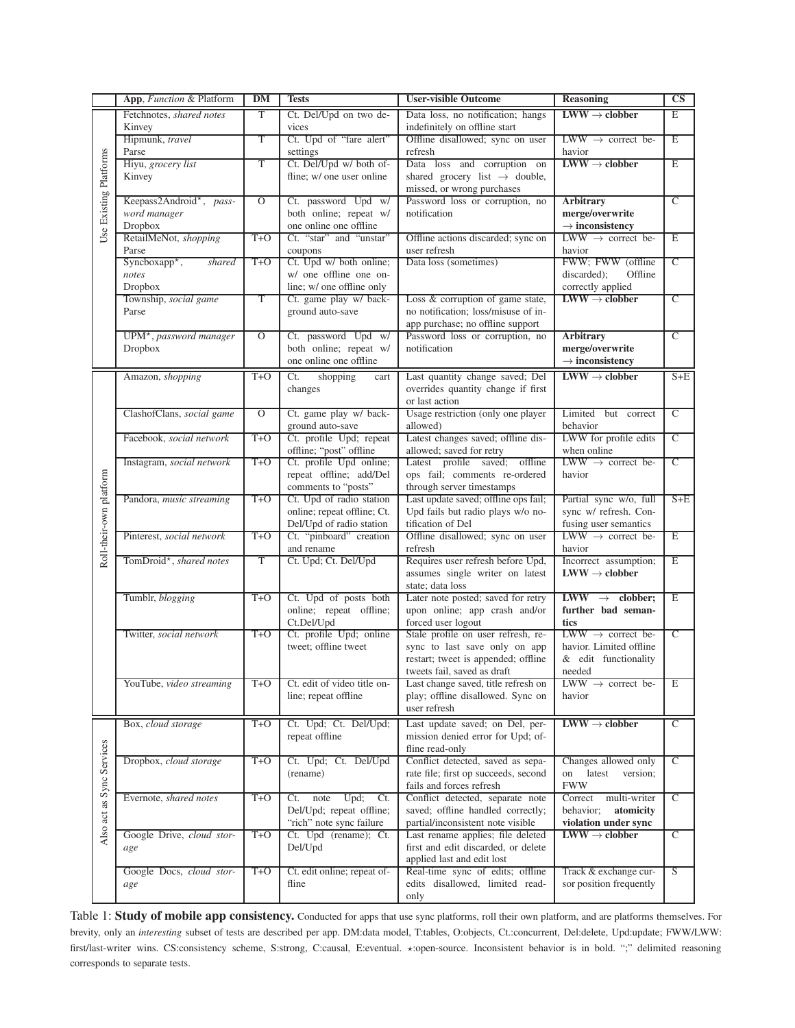|                           | App, Function & Platform            | DM             | <b>Tests</b>                                       | <b>User-visible Outcome</b>                                              | <b>Reasoning</b>                                             | $\overline{\text{CS}}$  |
|---------------------------|-------------------------------------|----------------|----------------------------------------------------|--------------------------------------------------------------------------|--------------------------------------------------------------|-------------------------|
|                           | Fetchnotes, shared notes            | T              | Ct. Del/Upd on two de-                             | Data loss, no notification; hangs                                        | $LWW \rightarrow clobber$                                    | E                       |
|                           | Kinvey                              |                | vices                                              | indefinitely on offline start                                            |                                                              |                         |
|                           | Hipmunk, travel<br>Parse            | T              | Ct. Upd of "fare alert"                            | Offline disallowed; sync on user<br>refresh                              | $LWW \rightarrow$ correct be-<br>havior                      | Ε                       |
| Use Existing Platforms    | Hiyu, grocery list                  | т              | settings<br>Ct. Del/Upd w/ both of-                | Data loss and corruption on                                              | $LWW \rightarrow$ clobber                                    | Ε                       |
|                           | Kinvey                              |                | fline; w/ one user online                          | shared grocery list $\rightarrow$ double,                                |                                                              |                         |
|                           |                                     |                |                                                    | missed, or wrong purchases                                               |                                                              |                         |
|                           | Keepass2Android*, pass-             | O              | Ct. password Upd w/                                | Password loss or corruption, no                                          | <b>Arbitrary</b>                                             | C                       |
|                           | word manager                        |                | both online; repeat w/                             | notification                                                             | merge/overwrite                                              |                         |
|                           | Dropbox<br>RetailMeNot, shopping    | $T+O$          | one online one offline<br>Ct. "star" and "unstar"  | Offline actions discarded; sync on                                       | $\rightarrow$ inconsistency<br>$LWW \rightarrow$ correct be- | Ε                       |
|                           | Parse                               |                | coupons                                            | user refresh                                                             | havior                                                       |                         |
|                           | Syncboxapp <sup>*</sup> ,<br>shared | $T+O$          | Ct. Upd w/ both online;                            | Data loss (sometimes)                                                    | FWW; FWW (offline                                            | $\overline{C}$          |
|                           | notes                               |                | w/ one offline one on-                             |                                                                          | Offline<br>discarded);                                       |                         |
|                           | Dropbox                             |                | line; w/ one offline only                          |                                                                          | correctly applied                                            |                         |
|                           | Township, social game               | T              | Ct. game play w/ back-                             | Loss & corruption of game state,                                         | $LWW \rightarrow$ clobber                                    | $\overline{C}$          |
|                           | Parse                               |                | ground auto-save                                   | no notification; loss/misuse of in-                                      |                                                              |                         |
|                           | UPM <sup>*</sup> , password manager | $\mathcal{O}$  | Ct. password Upd w/                                | app purchase; no offline support<br>Password loss or corruption, no      | <b>Arbitrary</b>                                             | $\mathsf{C}$            |
|                           | Dropbox                             |                | both online; repeat w/                             | notification                                                             | merge/overwrite                                              |                         |
|                           |                                     |                | one online one offline                             |                                                                          | $\rightarrow$ inconsistency                                  |                         |
|                           | Amazon, shopping                    | $T+O$          | $Ct$ .<br>shopping<br>cart                         | Last quantity change saved; Del                                          | $LWW \rightarrow clobber$                                    | $S+E$                   |
|                           |                                     |                | changes                                            | overrides quantity change if first                                       |                                                              |                         |
|                           |                                     |                |                                                    | or last action                                                           |                                                              |                         |
|                           | ClashofClans, social game           | $\overline{O}$ | Ct. game play w/ back-                             | Usage restriction (only one player                                       | Limited but correct                                          | $\overline{C}$          |
|                           |                                     |                | ground auto-save                                   | allowed)                                                                 | behavior                                                     |                         |
|                           | Facebook, social network            | $T+O$          | Ct. profile Upd; repeat                            | Latest changes saved; offline dis-                                       | LWW for profile edits<br>when online                         | $\overline{C}$          |
|                           | Instagram, social network           | $T+O$          | offline; "post" offline<br>Ct. profile Upd online; | allowed; saved for retry<br>Latest profile saved;<br>offline             | $LWW \rightarrow$ correct be-                                | $\overline{C}$          |
|                           |                                     |                | repeat offline; add/Del                            | ops fail; comments re-ordered                                            | havior                                                       |                         |
|                           |                                     |                | comments to "posts"                                | through server timestamps                                                |                                                              |                         |
|                           | Pandora, music streaming            | $T+O$          | Ct. Upd of radio station                           | Last update saved; offline ops fail;                                     | Partial sync w/o, full                                       | $S+E$                   |
|                           |                                     |                | online; repeat offline; Ct.                        | Upd fails but radio plays w/o no-                                        | sync w/ refresh. Con-                                        |                         |
|                           |                                     |                | Del/Upd of radio station                           | tification of Del                                                        | fusing user semantics                                        |                         |
|                           | Pinterest, social network           | $T+O$          | Ct. "pinboard" creation<br>and rename              | Offline disallowed; sync on user<br>refresh                              | $LWW \rightarrow$ correct be-<br>havior                      | E                       |
| Roll-their-own platform   | TomDroid*, shared notes             | T              | Ct. Upd; Ct. Del/Upd                               | Requires user refresh before Upd,                                        | Incorrect assumption;                                        | Ε                       |
|                           |                                     |                |                                                    | assumes single writer on latest                                          | $LWW \rightarrow$ clobber                                    |                         |
|                           |                                     |                |                                                    | state; data loss                                                         |                                                              |                         |
|                           | Tumblr, blogging                    | $T+O$          | Ct. Upd of posts both                              | Later note posted; saved for retry                                       | $LWW \rightarrow \text{clobber};$                            | Έ                       |
|                           |                                     |                | online; repeat offline;                            | upon online; app crash and/or                                            | further bad seman-                                           |                         |
|                           |                                     | $T+O$          | Ct.Del/Upd<br>Ct. profile Upd; online              | forced user logout<br>Stale profile on user refresh, re-                 | tics<br>$LWW \rightarrow$ correct be-                        | $\overline{C}$          |
|                           | Twitter, social network             |                | tweet; offline tweet                               | sync to last save only on app                                            | havior. Limited offline                                      |                         |
|                           |                                     |                |                                                    | restart; tweet is appended; offline                                      | & edit functionality                                         |                         |
|                           |                                     |                |                                                    | tweets fail, saved as draft                                              | needed                                                       |                         |
|                           | YouTube, video streaming            | $T+O$          | Ct. edit of video title on-                        | Last change saved, title refresh on                                      | $LWW \rightarrow$ correct be-                                | E                       |
|                           |                                     |                | line; repeat offline                               | play; offline disallowed. Sync on                                        | havior                                                       |                         |
|                           |                                     |                |                                                    | user refresh                                                             |                                                              |                         |
|                           | Box, cloud storage                  | $T+O$          | Ct. Upd; Ct. Del/Upd;                              | Last update saved; on Del, per-                                          | $LWW \rightarrow clobber$                                    | $\overline{C}$          |
|                           |                                     |                | repeat offline                                     | mission denied error for Upd; of-<br>fline read-only                     |                                                              |                         |
|                           | Dropbox, cloud storage              | $T+O$          | Ct. Upd; Ct. Del/Upd                               | Conflict detected, saved as sepa-                                        | Changes allowed only                                         | $\overline{C}$          |
|                           |                                     |                | (rename)                                           | rate file; first op succeeds, second                                     | on latest<br>version;                                        |                         |
|                           |                                     |                |                                                    | fails and forces refresh                                                 | <b>FWW</b>                                                   |                         |
|                           | Evernote, shared notes              | $T+O$          | Upd;<br>note<br>Ct.<br>Ct.                         | Conflict detected, separate note                                         | Correct<br>multi-writer                                      | $\overline{C}$          |
|                           |                                     |                | Del/Upd; repeat offline;                           | saved; offline handled correctly;                                        | behavior;<br>atomicity                                       |                         |
| Also act as Sync Services | Google Drive, cloud stor-           |                | "rich" note sync failure                           | partial/inconsistent note visible                                        | violation under sync<br>$LWW \rightarrow clobber$            | $\overline{\mathsf{C}}$ |
|                           | age                                 | $T+O$          | Ct. Upd (rename); Ct.<br>Del/Upd                   | Last rename applies; file deleted<br>first and edit discarded, or delete |                                                              |                         |
|                           |                                     |                |                                                    | applied last and edit lost                                               |                                                              |                         |
|                           | Google Docs, cloud stor-            | $T+O$          | Ct. edit online; repeat of-                        | Real-time sync of edits; offline                                         | Track & exchange cur-                                        | $\overline{S}$          |
|                           | age                                 |                | fline                                              | edits disallowed, limited read-                                          | sor position frequently                                      |                         |
|                           |                                     |                |                                                    | only                                                                     |                                                              |                         |

Table 1: Study of mobile app consistency. Conducted for apps that use sync platforms, roll their own platform, and are platforms themselves. For brevity, only an *interesting* subset of tests are described per app. DM:data model, T:tables, O:objects, Ct.:concurrent, Del:delete, Upd:update; FWW/LWW: first/last-writer wins. CS:consistency scheme, S:strong, C:causal, E:eventual. ⋆:open-source. Inconsistent behavior is in bold. ";" delimited reasoning corresponds to separate tests.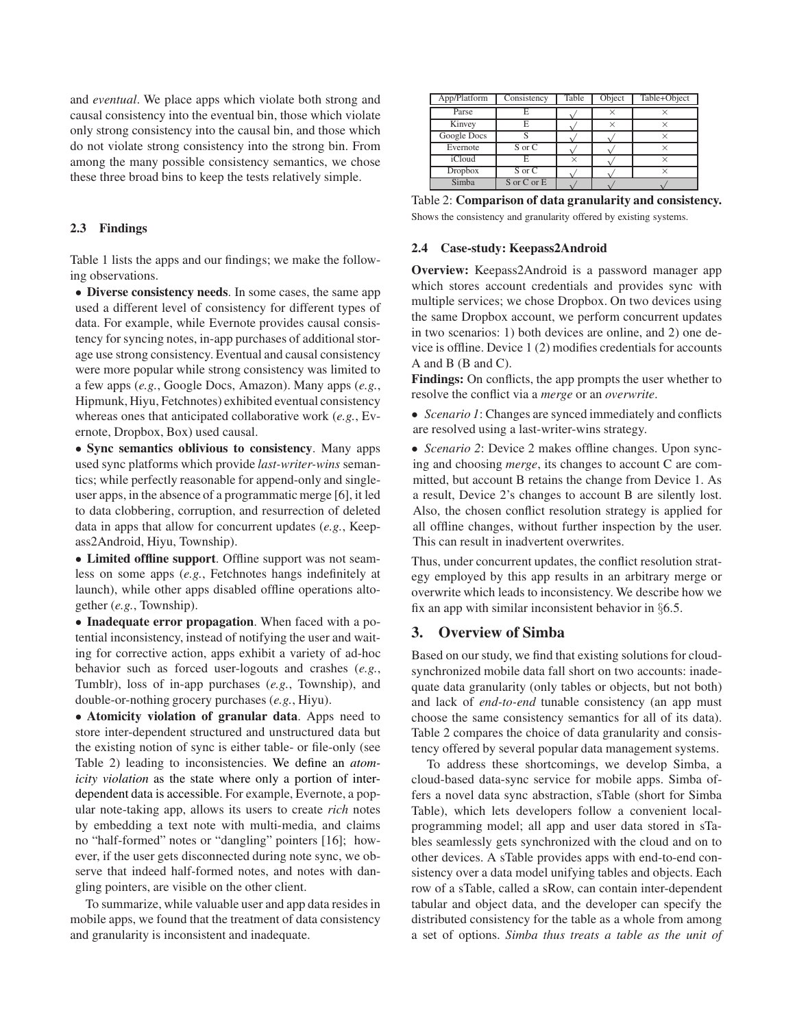and *eventual*. We place apps which violate both strong and causal consistency into the eventual bin, those which violate only strong consistency into the causal bin, and those which do not violate strong consistency into the strong bin. From among the many possible consistency semantics, we chose these three broad bins to keep the tests relatively simple.

# 2.3 Findings

Table 1 lists the apps and our findings; we make the following observations.

• Diverse consistency needs. In some cases, the same app used a different level of consistency for different types of data. For example, while Evernote provides causal consistency for syncing notes, in-app purchases of additional storage use strong consistency. Eventual and causal consistency were more popular while strong consistency was limited to a few apps (*e.g.*, Google Docs, Amazon). Many apps (*e.g.*, Hipmunk, Hiyu, Fetchnotes) exhibited eventual consistency whereas ones that anticipated collaborative work (*e.g.*, Evernote, Dropbox, Box) used causal.

• Sync semantics oblivious to consistency. Many apps used sync platforms which provide *last-writer-wins* semantics; while perfectly reasonable for append-only and singleuser apps, in the absence of a programmatic merge [6], it led to data clobbering, corruption, and resurrection of deleted data in apps that allow for concurrent updates (*e.g.*, Keepass2Android, Hiyu, Township).

• Limited offline support. Offline support was not seamless on some apps (*e.g.*, Fetchnotes hangs indefinitely at launch), while other apps disabled offline operations altogether (*e.g.*, Township).

• Inadequate error propagation. When faced with a potential inconsistency, instead of notifying the user and waiting for corrective action, apps exhibit a variety of ad-hoc behavior such as forced user-logouts and crashes (*e.g.*, Tumblr), loss of in-app purchases (*e.g.*, Township), and double-or-nothing grocery purchases (*e.g.*, Hiyu).

• Atomicity violation of granular data. Apps need to store inter-dependent structured and unstructured data but the existing notion of sync is either table- or file-only (see Table 2) leading to inconsistencies. We define an *atomicity violation* as the state where only a portion of interdependent data is accessible. For example, Evernote, a popular note-taking app, allows its users to create *rich* notes by embedding a text note with multi-media, and claims no "half-formed" notes or "dangling" pointers [16]; however, if the user gets disconnected during note sync, we observe that indeed half-formed notes, and notes with dangling pointers, are visible on the other client.

To summarize, while valuable user and app data resides in mobile apps, we found that the treatment of data consistency and granularity is inconsistent and inadequate.

| App/Platform   | Consistency | Table        | Object   | Table+Object  |
|----------------|-------------|--------------|----------|---------------|
| Parse          | E           |              | $\times$ |               |
| Kinvey         | E           |              | $\times$ |               |
| Google Docs    |             |              |          |               |
| Evernote       | $S$ or $C$  |              |          |               |
| iCloud         | E           | $\checkmark$ |          | $^\checkmark$ |
| <b>Dropbox</b> | $S$ or $C$  |              |          |               |
| Simba          | S or C or E |              |          |               |

| Table 2: Comparison of data granularity and consistency.           |  |  |
|--------------------------------------------------------------------|--|--|
| Shows the consistency and granularity offered by existing systems. |  |  |

#### 2.4 Case-study: Keepass2Android

Overview: Keepass2Android is a password manager app which stores account credentials and provides sync with multiple services; we chose Dropbox. On two devices using the same Dropbox account, we perform concurrent updates in two scenarios: 1) both devices are online, and 2) one device is offline. Device 1 (2) modifies credentials for accounts A and B (B and C).

Findings: On conflicts, the app prompts the user whether to resolve the conflict via a *merge* or an *overwrite*.

• *Scenario 1*: Changes are synced immediately and conflicts are resolved using a last-writer-wins strategy.

• *Scenario 2*: Device 2 makes offline changes. Upon syncing and choosing *merge*, its changes to account C are committed, but account B retains the change from Device 1. As a result, Device 2's changes to account B are silently lost. Also, the chosen conflict resolution strategy is applied for all offline changes, without further inspection by the user. This can result in inadvertent overwrites.

Thus, under concurrent updates, the conflict resolution strategy employed by this app results in an arbitrary merge or overwrite which leads to inconsistency. We describe how we fix an app with similar inconsistent behavior in §6.5.

# 3. Overview of Simba

Based on our study, we find that existing solutions for cloudsynchronized mobile data fall short on two accounts: inadequate data granularity (only tables or objects, but not both) and lack of *end-to-end* tunable consistency (an app must choose the same consistency semantics for all of its data). Table 2 compares the choice of data granularity and consistency offered by several popular data management systems.

To address these shortcomings, we develop Simba, a cloud-based data-sync service for mobile apps. Simba offers a novel data sync abstraction, sTable (short for Simba Table), which lets developers follow a convenient localprogramming model; all app and user data stored in sTables seamlessly gets synchronized with the cloud and on to other devices. A sTable provides apps with end-to-end consistency over a data model unifying tables and objects. Each row of a sTable, called a sRow, can contain inter-dependent tabular and object data, and the developer can specify the distributed consistency for the table as a whole from among a set of options. *Simba thus treats a table as the unit of*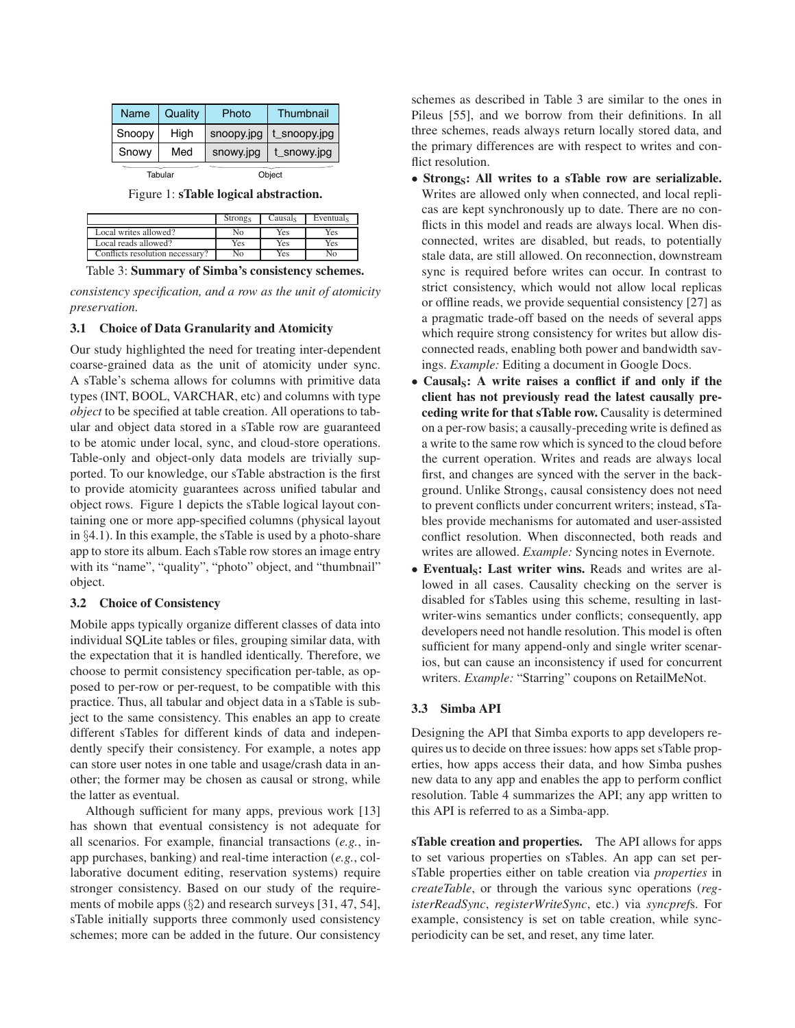| <b>Name</b> | Quality | Photo      | Thumbnail    |
|-------------|---------|------------|--------------|
| Snoopy      | High    | snoopy.jpg | t_snoopy.jpg |
| Snowy       | Med     | snowy.jpg  | t_snowy.jpg  |
|             | Tabular |            | Obiect       |

Figure 1: sTable logical abstraction.

|                                 | <b>Strongs</b> | Causale | Eventuals |
|---------------------------------|----------------|---------|-----------|
| Local writes allowed?           | Nο             | Yes     | Yes       |
| Local reads allowed?            | Yes            | Yes     | Yes       |
| Conflicts resolution necessary? | No             | Yes     |           |

Table 3: Summary of Simba's consistency schemes.

*consistency specification, and a row as the unit of atomicity preservation.*

# 3.1 Choice of Data Granularity and Atomicity

Our study highlighted the need for treating inter-dependent coarse-grained data as the unit of atomicity under sync. A sTable's schema allows for columns with primitive data types (INT, BOOL, VARCHAR, etc) and columns with type *object* to be specified at table creation. All operations to tabular and object data stored in a sTable row are guaranteed to be atomic under local, sync, and cloud-store operations. Table-only and object-only data models are trivially supported. To our knowledge, our sTable abstraction is the first to provide atomicity guarantees across unified tabular and object rows. Figure 1 depicts the sTable logical layout containing one or more app-specified columns (physical layout in §4.1). In this example, the sTable is used by a photo-share app to store its album. Each sTable row stores an image entry with its "name", "quality", "photo" object, and "thumbnail" object.

# 3.2 Choice of Consistency

Mobile apps typically organize different classes of data into individual SQLite tables or files, grouping similar data, with the expectation that it is handled identically. Therefore, we choose to permit consistency specification per-table, as opposed to per-row or per-request, to be compatible with this practice. Thus, all tabular and object data in a sTable is subject to the same consistency. This enables an app to create different sTables for different kinds of data and independently specify their consistency. For example, a notes app can store user notes in one table and usage/crash data in another; the former may be chosen as causal or strong, while the latter as eventual.

Although sufficient for many apps, previous work [13] has shown that eventual consistency is not adequate for all scenarios. For example, financial transactions (*e.g.*, inapp purchases, banking) and real-time interaction (*e.g.*, collaborative document editing, reservation systems) require stronger consistency. Based on our study of the requirements of mobile apps (§2) and research surveys [31, 47, 54], sTable initially supports three commonly used consistency schemes; more can be added in the future. Our consistency schemes as described in Table 3 are similar to the ones in Pileus [55], and we borrow from their definitions. In all three schemes, reads always return locally stored data, and the primary differences are with respect to writes and conflict resolution.

- Strongs: All writes to a sTable row are serializable. Writes are allowed only when connected, and local replicas are kept synchronously up to date. There are no conflicts in this model and reads are always local. When disconnected, writes are disabled, but reads, to potentially stale data, are still allowed. On reconnection, downstream sync is required before writes can occur. In contrast to strict consistency, which would not allow local replicas or offline reads, we provide sequential consistency [27] as a pragmatic trade-off based on the needs of several apps which require strong consistency for writes but allow disconnected reads, enabling both power and bandwidth savings. *Example:* Editing a document in Google Docs.
- Causals: A write raises a conflict if and only if the client has not previously read the latest causally preceding write for that sTable row. Causality is determined on a per-row basis; a causally-preceding write is defined as a write to the same row which is synced to the cloud before the current operation. Writes and reads are always local first, and changes are synced with the server in the background. Unlike Strong<sub>S</sub>, causal consistency does not need to prevent conflicts under concurrent writers; instead, sTables provide mechanisms for automated and user-assisted conflict resolution. When disconnected, both reads and writes are allowed. *Example:* Syncing notes in Evernote.
- Eventuals: Last writer wins. Reads and writes are allowed in all cases. Causality checking on the server is disabled for sTables using this scheme, resulting in lastwriter-wins semantics under conflicts; consequently, app developers need not handle resolution. This model is often sufficient for many append-only and single writer scenarios, but can cause an inconsistency if used for concurrent writers. *Example:* "Starring" coupons on RetailMeNot.

# 3.3 Simba API

Designing the API that Simba exports to app developers requires us to decide on three issues: how apps set sTable properties, how apps access their data, and how Simba pushes new data to any app and enables the app to perform conflict resolution. Table 4 summarizes the API; any app written to this API is referred to as a Simba-app.

sTable creation and properties. The API allows for apps to set various properties on sTables. An app can set persTable properties either on table creation via *properties* in *createTable*, or through the various sync operations (*registerReadSync*, *registerWriteSync*, etc.) via *syncpref*s. For example, consistency is set on table creation, while syncperiodicity can be set, and reset, any time later.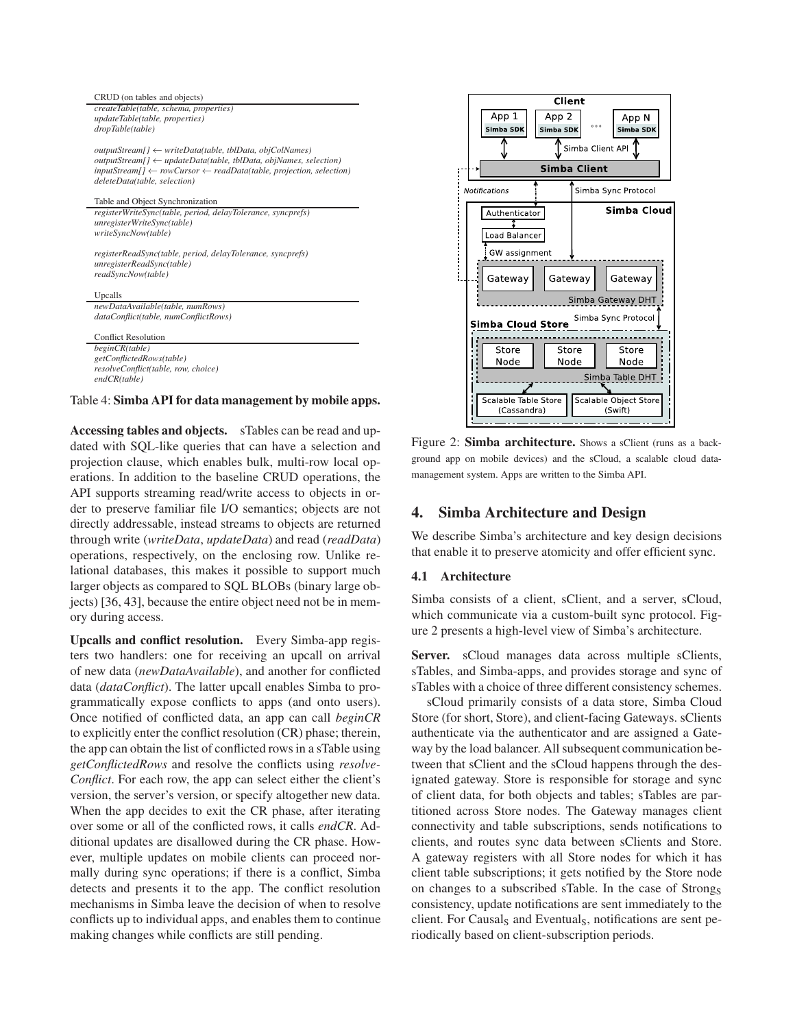

Table 4: Simba API for data management by mobile apps.

Accessing tables and objects. sTables can be read and updated with SQL-like queries that can have a selection and projection clause, which enables bulk, multi-row local operations. In addition to the baseline CRUD operations, the API supports streaming read/write access to objects in order to preserve familiar file I/O semantics; objects are not directly addressable, instead streams to objects are returned through write (*writeData*, *updateData*) and read (*readData*) operations, respectively, on the enclosing row. Unlike relational databases, this makes it possible to support much larger objects as compared to SQL BLOBs (binary large objects) [36, 43], because the entire object need not be in memory during access.

Upcalls and conflict resolution. Every Simba-app registers two handlers: one for receiving an upcall on arrival of new data (*newDataAvailable*), and another for conflicted data (*dataConflict*). The latter upcall enables Simba to programmatically expose conflicts to apps (and onto users). Once notified of conflicted data, an app can call *beginCR* to explicitly enter the conflict resolution (CR) phase; therein, the app can obtain the list of conflicted rows in a sTable using getConflictedRows and resolve the conflicts using *resolve*-*Conflict*. For each row, the app can select either the client's version, the server's version, or specify altogether new data. When the app decides to exit the CR phase, after iterating over some or all of the conflicted rows, it calls *endCR*. Additional updates are disallowed during the CR phase. However, multiple updates on mobile clients can proceed normally during sync operations; if there is a conflict, Simba detects and presents it to the app. The conflict resolution mechanisms in Simba leave the decision of when to resolve conflicts up to individual apps, and enables them to continue making changes while conflicts are still pending.



Figure 2: Simba architecture. Shows a sClient (runs as a background app on mobile devices) and the sCloud, a scalable cloud datamanagement system. Apps are written to the Simba API.

# 4. Simba Architecture and Design

We describe Simba's architecture and key design decisions that enable it to preserve atomicity and offer efficient sync.

# 4.1 Architecture

Simba consists of a client, sClient, and a server, sCloud, which communicate via a custom-built sync protocol. Figure 2 presents a high-level view of Simba's architecture.

Server. sCloud manages data across multiple sClients, sTables, and Simba-apps, and provides storage and sync of sTables with a choice of three different consistency schemes.

sCloud primarily consists of a data store, Simba Cloud Store (for short, Store), and client-facing Gateways. sClients authenticate via the authenticator and are assigned a Gateway by the load balancer. All subsequent communication between that sClient and the sCloud happens through the designated gateway. Store is responsible for storage and sync of client data, for both objects and tables; sTables are partitioned across Store nodes. The Gateway manages client connectivity and table subscriptions, sends notifications to clients, and routes sync data between sClients and Store. A gateway registers with all Store nodes for which it has client table subscriptions; it gets notified by the Store node on changes to a subscribed sTable. In the case of Strongs consistency, update notifications are sent immediately to the client. For Causals and Eventuals, notifications are sent periodically based on client-subscription periods.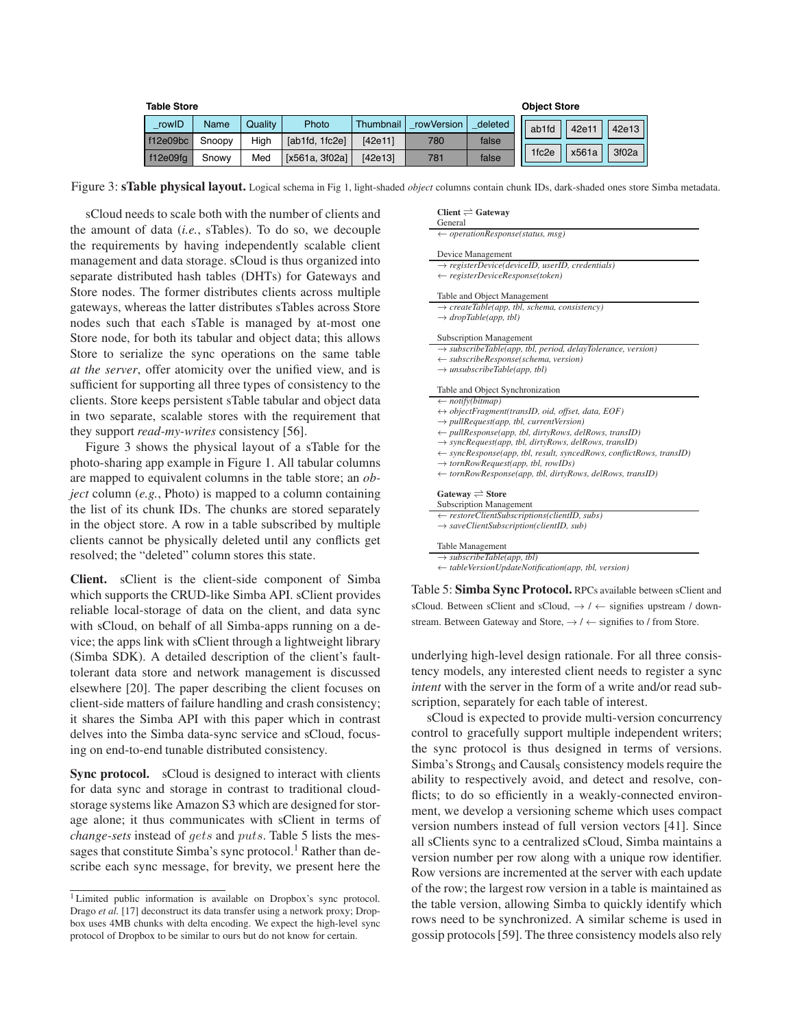| <b>Table Store</b><br><b>Object Store</b> |        |         |                |           |            |         |                   |       |       |
|-------------------------------------------|--------|---------|----------------|-----------|------------|---------|-------------------|-------|-------|
| rowID                                     | Name   | Qualitv | Photo          | Thumbnail | rowVersion | deleted | ab <sub>1fd</sub> | 42e11 | 42e13 |
| 12e09bc                                   | Snoopy | Hiah    | [ab1fd, 1fc2e] | [42e11]   | 780        | false   |                   |       |       |
| f12e09fq                                  | Snowy  | Med     | [x561a, 3f02a] | [42e13]   | 781        | false   | 1fc2e             | x561a | 3f02a |

Figure 3: sTable physical layout. Logical schema in Fig 1, light-shaded *object* columns contain chunk IDs, dark-shaded ones store Simba metadata.

sCloud needs to scale both with the number of clients and the amount of data (*i.e.*, sTables). To do so, we decouple the requirements by having independently scalable client management and data storage. sCloud is thus organized into separate distributed hash tables (DHTs) for Gateways and Store nodes. The former distributes clients across multiple gateways, whereas the latter distributes sTables across Store nodes such that each sTable is managed by at-most one Store node, for both its tabular and object data; this allows Store to serialize the sync operations on the same table *at the server*, offer atomicity over the unified view, and is sufficient for supporting all three types of consistency to the clients. Store keeps persistent sTable tabular and object data in two separate, scalable stores with the requirement that they support *read-my-writes* consistency [56].

Figure 3 shows the physical layout of a sTable for the photo-sharing app example in Figure 1. All tabular columns are mapped to equivalent columns in the table store; an *object* column (*e.g.*, Photo) is mapped to a column containing the list of its chunk IDs. The chunks are stored separately in the object store. A row in a table subscribed by multiple clients cannot be physically deleted until any conflicts get resolved; the "deleted" column stores this state.

Client. sClient is the client-side component of Simba which supports the CRUD-like Simba API. sClient provides reliable local-storage of data on the client, and data sync with sCloud, on behalf of all Simba-apps running on a device; the apps link with sClient through a lightweight library (Simba SDK). A detailed description of the client's faulttolerant data store and network management is discussed elsewhere [20]. The paper describing the client focuses on client-side matters of failure handling and crash consistency; it shares the Simba API with this paper which in contrast delves into the Simba data-sync service and sCloud, focusing on end-to-end tunable distributed consistency.

Sync protocol. sCloud is designed to interact with clients for data sync and storage in contrast to traditional cloudstorage systems like Amazon S3 which are designed for storage alone; it thus communicates with sClient in terms of *change-sets* instead of gets and puts. Table 5 lists the messages that constitute Simba's sync protocol.<sup>1</sup> Rather than describe each sync message, for brevity, we present here the

| Client $\rightleftharpoons$ Gateway<br>General                                 |
|--------------------------------------------------------------------------------|
| $\leftarrow operationResponse(status, msg)$                                    |
| Device Management                                                              |
| $\rightarrow$ registerDevice(deviceID, userID, credentials)                    |
| $\leftarrow$ registerDeviceResponse(token)                                     |
| Table and Object Management                                                    |
| $\rightarrow$ createTable(app, tbl, schema, consistency)                       |
| $\rightarrow dropTable (app, tb1)$                                             |
| <b>Subscription Management</b>                                                 |
| $\rightarrow$ subscribeTable(app, tbl, period, delayTolerance, version)        |
| $\leftarrow$ subscribeResponse(schema, version)                                |
| $\rightarrow$ unsubscribeTable(app, tbl)                                       |
| Table and Object Synchronization                                               |
| $\leftarrow$ notify(bitmap)                                                    |
| $\leftrightarrow$ objectFragment(transID, oid, offset, data, EOF)              |
| $\rightarrow$ pullRequest(app, tbl, currentVersion)                            |
| $\leftarrow$ pullResponse(app, tbl, dirtyRows, delRows, transID)               |
| $\rightarrow$ syncRequest(app, tbl, dirtyRows, delRows, transID)               |
| $\leftarrow$ syncResponse(app, tbl, result, syncedRows, conflictRows, transID) |
| $\rightarrow$ tornRowRequest(app, tbl, rowIDs)                                 |
| $\leftarrow$ tornRowResponse(app, tbl, dirtyRows, delRows, transID)            |
| Gateway $\rightleftharpoons$ Store                                             |
| <b>Subscription Management</b>                                                 |
| $\leftarrow$ restoreClientSubscriptions(clientID, subs)                        |
| $\rightarrow$ saveClientSubscription(clientID, sub)                            |
| Table Management                                                               |
| $\rightarrow$ subscribeTable(app, tbl)                                         |
| $\leftarrow$ tableVersionUpdateNotification(app, tbl, version)                 |

Table 5: Simba Sync Protocol. RPCs available between sClient and sCloud. Between sClient and sCloud,  $\rightarrow$  /  $\leftarrow$  signifies upstream / downstream. Between Gateway and Store,  $\rightarrow$  /  $\leftarrow$  signifies to / from Store.

underlying high-level design rationale. For all three consistency models, any interested client needs to register a sync *intent* with the server in the form of a write and/or read subscription, separately for each table of interest.

sCloud is expected to provide multi-version concurrency control to gracefully support multiple independent writers; the sync protocol is thus designed in terms of versions. Simba's Strong<sub>S</sub> and Causal<sub>S</sub> consistency models require the ability to respectively avoid, and detect and resolve, conflicts; to do so efficiently in a weakly-connected environment, we develop a versioning scheme which uses compact version numbers instead of full version vectors [41]. Since all sClients sync to a centralized sCloud, Simba maintains a version number per row along with a unique row identifier. Row versions are incremented at the server with each update of the row; the largest row version in a table is maintained as the table version, allowing Simba to quickly identify which rows need to be synchronized. A similar scheme is used in gossip protocols [59]. The three consistency models also rely

<sup>&</sup>lt;sup>1</sup> Limited public information is available on Dropbox's sync protocol. Drago *et al.* [17] deconstruct its data transfer using a network proxy; Dropbox uses 4MB chunks with delta encoding. We expect the high-level sync protocol of Dropbox to be similar to ours but do not know for certain.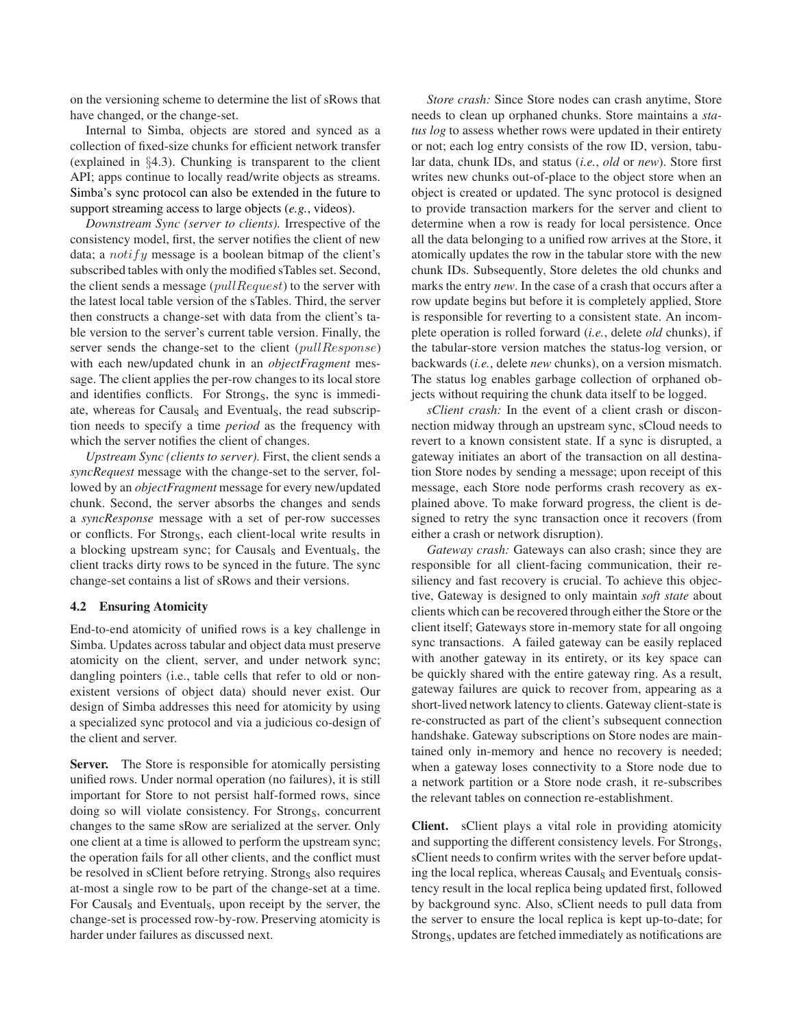on the versioning scheme to determine the list of sRows that have changed, or the change-set.

Internal to Simba, objects are stored and synced as a collection of fixed-size chunks for efficient network transfer (explained in §4.3). Chunking is transparent to the client API; apps continue to locally read/write objects as streams. Simba's sync protocol can also be extended in the future to support streaming access to large objects (*e.g.*, videos).

*Downstream Sync (server to clients).* Irrespective of the consistency model, first, the server notifies the client of new data; a  $notify$  message is a boolean bitmap of the client's subscribed tables with only the modified sTables set. Second, the client sends a message (*pullRequest*) to the server with the latest local table version of the sTables. Third, the server then constructs a change-set with data from the client's table version to the server's current table version. Finally, the server sends the change-set to the client (pullResponse) with each new/updated chunk in an *objectFragment* message. The client applies the per-row changes to its local store and identifies conflicts. For Strongs, the sync is immediate, whereas for Causal<sub>S</sub> and Eventual<sub>S</sub>, the read subscription needs to specify a time *period* as the frequency with which the server notifies the client of changes.

*Upstream Sync (clients to server).* First, the client sends a *syncRequest* message with the change-set to the server, followed by an *objectFragment* message for every new/updated chunk. Second, the server absorbs the changes and sends a *syncResponse* message with a set of per-row successes or conflicts. For Strongs, each client-local write results in a blocking upstream sync; for Causal<sub>S</sub> and Eventual<sub>S</sub>, the client tracks dirty rows to be synced in the future. The sync change-set contains a list of sRows and their versions.

# 4.2 Ensuring Atomicity

End-to-end atomicity of unified rows is a key challenge in Simba. Updates across tabular and object data must preserve atomicity on the client, server, and under network sync; dangling pointers (i.e., table cells that refer to old or nonexistent versions of object data) should never exist. Our design of Simba addresses this need for atomicity by using a specialized sync protocol and via a judicious co-design of the client and server.

Server. The Store is responsible for atomically persisting unified rows. Under normal operation (no failures), it is still important for Store to not persist half-formed rows, since doing so will violate consistency. For Strongs, concurrent changes to the same sRow are serialized at the server. Only one client at a time is allowed to perform the upstream sync; the operation fails for all other clients, and the conflict must be resolved in sClient before retrying. Strongs also requires at-most a single row to be part of the change-set at a time. For Causal<sub>S</sub> and Eventual<sub>S</sub>, upon receipt by the server, the change-set is processed row-by-row. Preserving atomicity is harder under failures as discussed next.

*Store crash:* Since Store nodes can crash anytime, Store needs to clean up orphaned chunks. Store maintains a *status log* to assess whether rows were updated in their entirety or not; each log entry consists of the row ID, version, tabular data, chunk IDs, and status (*i.e.*, *old* or *new*). Store first writes new chunks out-of-place to the object store when an object is created or updated. The sync protocol is designed to provide transaction markers for the server and client to determine when a row is ready for local persistence. Once all the data belonging to a unified row arrives at the Store, it atomically updates the row in the tabular store with the new chunk IDs. Subsequently, Store deletes the old chunks and marks the entry *new*. In the case of a crash that occurs after a row update begins but before it is completely applied, Store is responsible for reverting to a consistent state. An incomplete operation is rolled forward (*i.e.*, delete *old* chunks), if the tabular-store version matches the status-log version, or backwards (*i.e.*, delete *new* chunks), on a version mismatch. The status log enables garbage collection of orphaned objects without requiring the chunk data itself to be logged.

*sClient crash:* In the event of a client crash or disconnection midway through an upstream sync, sCloud needs to revert to a known consistent state. If a sync is disrupted, a gateway initiates an abort of the transaction on all destination Store nodes by sending a message; upon receipt of this message, each Store node performs crash recovery as explained above. To make forward progress, the client is designed to retry the sync transaction once it recovers (from either a crash or network disruption).

*Gateway crash:* Gateways can also crash; since they are responsible for all client-facing communication, their resiliency and fast recovery is crucial. To achieve this objective, Gateway is designed to only maintain *soft state* about clients which can be recovered through either the Store or the client itself; Gateways store in-memory state for all ongoing sync transactions. A failed gateway can be easily replaced with another gateway in its entirety, or its key space can be quickly shared with the entire gateway ring. As a result, gateway failures are quick to recover from, appearing as a short-lived network latency to clients. Gateway client-state is re-constructed as part of the client's subsequent connection handshake. Gateway subscriptions on Store nodes are maintained only in-memory and hence no recovery is needed; when a gateway loses connectivity to a Store node due to a network partition or a Store node crash, it re-subscribes the relevant tables on connection re-establishment.

Client. sClient plays a vital role in providing atomicity and supporting the different consistency levels. For Strong<sub>S</sub>, sClient needs to confirm writes with the server before updating the local replica, whereas Causals and Eventuals consistency result in the local replica being updated first, followed by background sync. Also, sClient needs to pull data from the server to ensure the local replica is kept up-to-date; for Strongs, updates are fetched immediately as notifications are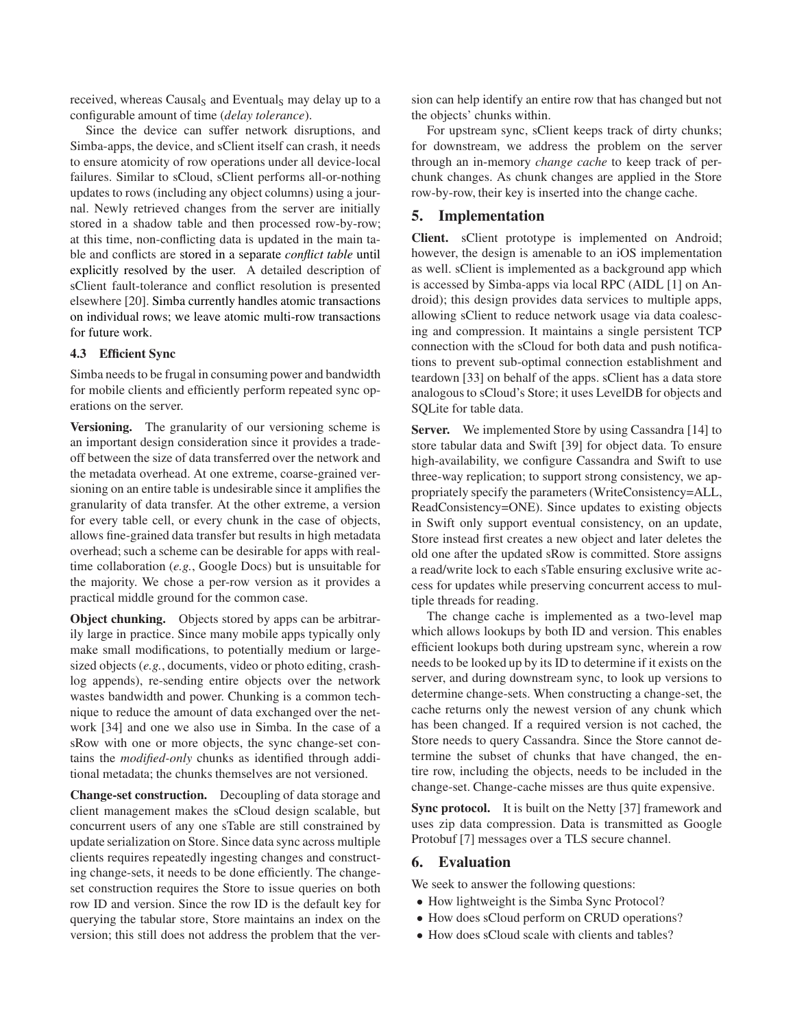received, whereas Causal<sub>S</sub> and Eventual<sub>S</sub> may delay up to a configurable amount of time (*delay tolerance*).

Since the device can suffer network disruptions, and Simba-apps, the device, and sClient itself can crash, it needs to ensure atomicity of row operations under all device-local failures. Similar to sCloud, sClient performs all-or-nothing updates to rows (including any object columns) using a journal. Newly retrieved changes from the server are initially stored in a shadow table and then processed row-by-row; at this time, non-conflicting data is updated in the main table and conflicts are stored in a separate *conflict table* until explicitly resolved by the user. A detailed description of sClient fault-tolerance and conflict resolution is presented elsewhere [20]. Simba currently handles atomic transactions on individual rows; we leave atomic multi-row transactions for future work.

# 4.3 Efficient Sync

Simba needs to be frugal in consuming power and bandwidth for mobile clients and efficiently perform repeated sync operations on the server.

Versioning. The granularity of our versioning scheme is an important design consideration since it provides a tradeoff between the size of data transferred over the network and the metadata overhead. At one extreme, coarse-grained versioning on an entire table is undesirable since it amplifies the granularity of data transfer. At the other extreme, a version for every table cell, or every chunk in the case of objects, allows fine-grained data transfer but results in high metadata overhead; such a scheme can be desirable for apps with realtime collaboration (*e.g.*, Google Docs) but is unsuitable for the majority. We chose a per-row version as it provides a practical middle ground for the common case.

Object chunking. Objects stored by apps can be arbitrarily large in practice. Since many mobile apps typically only make small modifications, to potentially medium or largesized objects (*e.g.*, documents, video or photo editing, crashlog appends), re-sending entire objects over the network wastes bandwidth and power. Chunking is a common technique to reduce the amount of data exchanged over the network [34] and one we also use in Simba. In the case of a sRow with one or more objects, the sync change-set contains the *modified-only* chunks as identified through additional metadata; the chunks themselves are not versioned.

Change-set construction. Decoupling of data storage and client management makes the sCloud design scalable, but concurrent users of any one sTable are still constrained by update serialization on Store. Since data sync across multiple clients requires repeatedly ingesting changes and constructing change-sets, it needs to be done efficiently. The changeset construction requires the Store to issue queries on both row ID and version. Since the row ID is the default key for querying the tabular store, Store maintains an index on the version; this still does not address the problem that the version can help identify an entire row that has changed but not the objects' chunks within.

For upstream sync, sClient keeps track of dirty chunks; for downstream, we address the problem on the server through an in-memory *change cache* to keep track of perchunk changes. As chunk changes are applied in the Store row-by-row, their key is inserted into the change cache.

# 5. Implementation

Client. sClient prototype is implemented on Android; however, the design is amenable to an iOS implementation as well. sClient is implemented as a background app which is accessed by Simba-apps via local RPC (AIDL [1] on Android); this design provides data services to multiple apps, allowing sClient to reduce network usage via data coalescing and compression. It maintains a single persistent TCP connection with the sCloud for both data and push notifications to prevent sub-optimal connection establishment and teardown [33] on behalf of the apps. sClient has a data store analogous to sCloud's Store; it uses LevelDB for objects and SQLite for table data.

Server. We implemented Store by using Cassandra [14] to store tabular data and Swift [39] for object data. To ensure high-availability, we configure Cassandra and Swift to use three-way replication; to support strong consistency, we appropriately specify the parameters (WriteConsistency=ALL, ReadConsistency=ONE). Since updates to existing objects in Swift only support eventual consistency, on an update, Store instead first creates a new object and later deletes the old one after the updated sRow is committed. Store assigns a read/write lock to each sTable ensuring exclusive write access for updates while preserving concurrent access to multiple threads for reading.

The change cache is implemented as a two-level map which allows lookups by both ID and version. This enables efficient lookups both during upstream sync, wherein a row needs to be looked up by its ID to determine if it exists on the server, and during downstream sync, to look up versions to determine change-sets. When constructing a change-set, the cache returns only the newest version of any chunk which has been changed. If a required version is not cached, the Store needs to query Cassandra. Since the Store cannot determine the subset of chunks that have changed, the entire row, including the objects, needs to be included in the change-set. Change-cache misses are thus quite expensive.

Sync protocol. It is built on the Netty [37] framework and uses zip data compression. Data is transmitted as Google Protobuf [7] messages over a TLS secure channel.

# 6. Evaluation

We seek to answer the following questions:

- How lightweight is the Simba Sync Protocol?
- How does sCloud perform on CRUD operations?
- How does sCloud scale with clients and tables?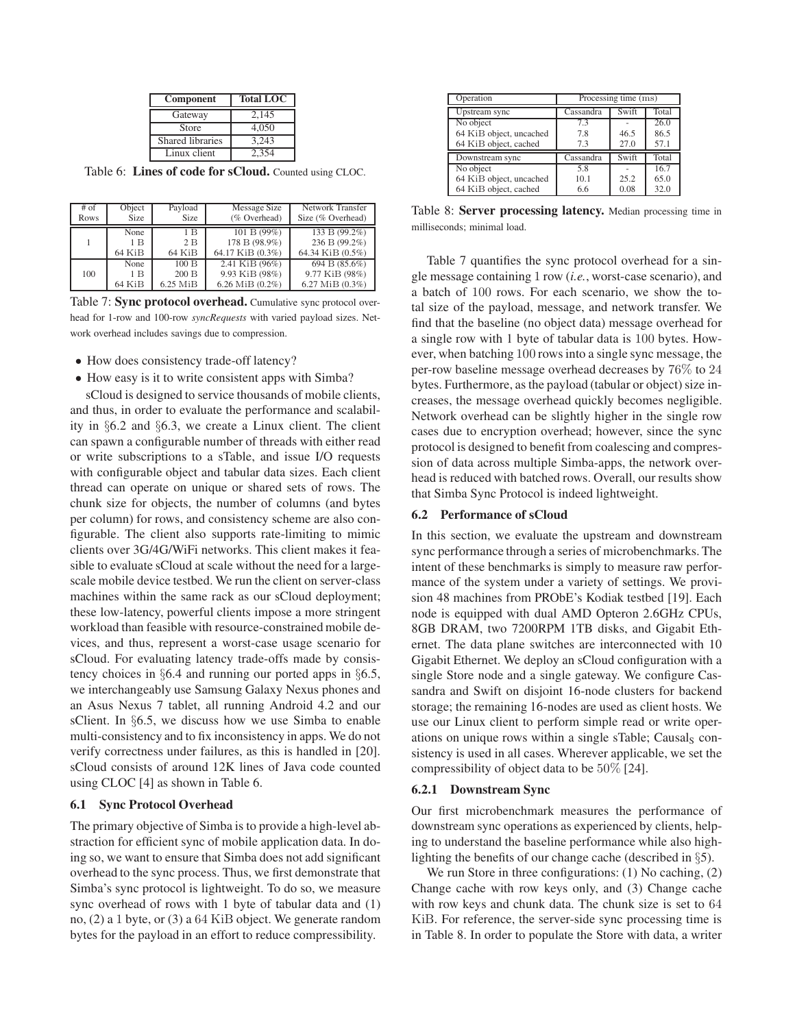| Component        | <b>Total LOC</b> |
|------------------|------------------|
| Gateway          | 2,145            |
| Store            | 4.050            |
| Shared libraries | 3.243            |
| Linux client     | 2.354            |

Table 6: Lines of code for sCloud. Counted using CLOC.

| # of | Object         | Payload    | Message Size       | Network Transfer   |
|------|----------------|------------|--------------------|--------------------|
| Rows | <b>Size</b>    | Size       | (% Overhead)       | Size (% Overhead)  |
|      | None           | 1 B        | 101 B(99%)         | $133 B(99.2\%)$    |
|      | 1 B            | 2B         | 178 B (98.9%)      | 236 B (99.2%)      |
|      | 64 KiB         | $64$ KiB   | 64.17 KiB (0.3%)   | 64.34 KiB (0.5%)   |
|      | None           | 100 B      | 2.41 KiB (96%)     | $694 B (85.6\%)$   |
| 100  | 1 <sub>B</sub> | 200B       | 9.93 KiB (98%)     | 9.77 KiB (98%)     |
|      | $64$ KiB       | $6.25$ MiB | 6.26 MiB $(0.2\%)$ | 6.27 MiB $(0.3\%)$ |

Table 7: Sync protocol overhead. Cumulative sync protocol overhead for 1-row and 100-row *syncRequests* with varied payload sizes. Network overhead includes savings due to compression.

- How does consistency trade-off latency?
- How easy is it to write consistent apps with Simba?

sCloud is designed to service thousands of mobile clients, and thus, in order to evaluate the performance and scalability in §6.2 and §6.3, we create a Linux client. The client can spawn a configurable number of threads with either read or write subscriptions to a sTable, and issue I/O requests with configurable object and tabular data sizes. Each client thread can operate on unique or shared sets of rows. The chunk size for objects, the number of columns (and bytes per column) for rows, and consistency scheme are also configurable. The client also supports rate-limiting to mimic clients over 3G/4G/WiFi networks. This client makes it feasible to evaluate sCloud at scale without the need for a largescale mobile device testbed. We run the client on server-class machines within the same rack as our sCloud deployment; these low-latency, powerful clients impose a more stringent workload than feasible with resource-constrained mobile devices, and thus, represent a worst-case usage scenario for sCloud. For evaluating latency trade-offs made by consistency choices in §6.4 and running our ported apps in §6.5, we interchangeably use Samsung Galaxy Nexus phones and an Asus Nexus 7 tablet, all running Android 4.2 and our sClient. In §6.5, we discuss how we use Simba to enable multi-consistency and to fix inconsistency in apps. We do not verify correctness under failures, as this is handled in [20]. sCloud consists of around 12K lines of Java code counted using CLOC [4] as shown in Table 6.

#### 6.1 Sync Protocol Overhead

The primary objective of Simba is to provide a high-level abstraction for efficient sync of mobile application data. In doing so, we want to ensure that Simba does not add significant overhead to the sync process. Thus, we first demonstrate that Simba's sync protocol is lightweight. To do so, we measure sync overhead of rows with 1 byte of tabular data and (1) no, (2) a 1 byte, or (3) a 64 KiB object. We generate random bytes for the payload in an effort to reduce compressibility.

| Operation                                                     | Processing time (ms) |              |                      |  |
|---------------------------------------------------------------|----------------------|--------------|----------------------|--|
| Upstream sync                                                 | Cassandra            | Swift        | Total                |  |
| No object<br>64 KiB object, uncached<br>64 KiB object, cached | 73<br>7.8<br>7.3     | 46.5<br>27.0 | 26.0<br>86.5<br>57.1 |  |
| Downstream sync                                               | Cassandra            | Swift        | Total                |  |
| No object<br>64 KiB object, uncached<br>64 KiB object, cached | 5.8<br>10.1<br>6.6   | 25.2<br>0.08 | 16.7<br>65.0<br>32.0 |  |

Table 8: Server processing latency. Median processing time in milliseconds; minimal load.

Table 7 quantifies the sync protocol overhead for a single message containing 1 row (*i.e.*, worst-case scenario), and a batch of 100 rows. For each scenario, we show the total size of the payload, message, and network transfer. We find that the baseline (no object data) message overhead for a single row with 1 byte of tabular data is 100 bytes. However, when batching 100 rows into a single sync message, the per-row baseline message overhead decreases by 76% to 24 bytes. Furthermore, as the payload (tabular or object) size increases, the message overhead quickly becomes negligible. Network overhead can be slightly higher in the single row cases due to encryption overhead; however, since the sync protocol is designed to benefit from coalescing and compression of data across multiple Simba-apps, the network overhead is reduced with batched rows. Overall, our results show that Simba Sync Protocol is indeed lightweight.

### 6.2 Performance of sCloud

In this section, we evaluate the upstream and downstream sync performance through a series of microbenchmarks. The intent of these benchmarks is simply to measure raw performance of the system under a variety of settings. We provision 48 machines from PRObE's Kodiak testbed [19]. Each node is equipped with dual AMD Opteron 2.6GHz CPUs, 8GB DRAM, two 7200RPM 1TB disks, and Gigabit Ethernet. The data plane switches are interconnected with 10 Gigabit Ethernet. We deploy an sCloud configuration with a single Store node and a single gateway. We configure Cassandra and Swift on disjoint 16-node clusters for backend storage; the remaining 16-nodes are used as client hosts. We use our Linux client to perform simple read or write operations on unique rows within a single sTable; Causal<sub>S</sub> consistency is used in all cases. Wherever applicable, we set the compressibility of object data to be 50% [24].

# 6.2.1 Downstream Sync

Our first microbenchmark measures the performance of downstream sync operations as experienced by clients, helping to understand the baseline performance while also highlighting the benefits of our change cache (described in §5).

We run Store in three configurations: (1) No caching, (2) Change cache with row keys only, and (3) Change cache with row keys and chunk data. The chunk size is set to 64 KiB. For reference, the server-side sync processing time is in Table 8. In order to populate the Store with data, a writer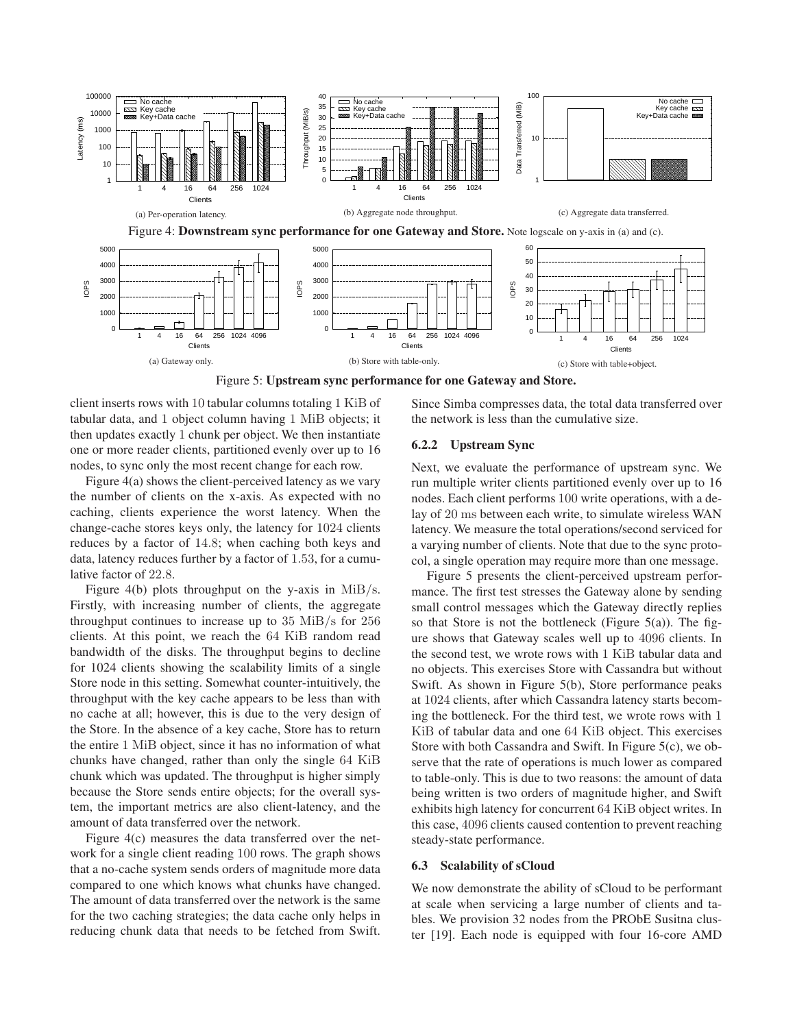

Figure 5: Upstream sync performance for one Gateway and Store.

client inserts rows with 10 tabular columns totaling 1 KiB of tabular data, and 1 object column having 1 MiB objects; it then updates exactly 1 chunk per object. We then instantiate one or more reader clients, partitioned evenly over up to 16 nodes, to sync only the most recent change for each row.

Figure 4(a) shows the client-perceived latency as we vary the number of clients on the x-axis. As expected with no caching, clients experience the worst latency. When the change-cache stores keys only, the latency for 1024 clients reduces by a factor of 14.8; when caching both keys and data, latency reduces further by a factor of 1.53, for a cumulative factor of 22.8.

Figure 4(b) plots throughput on the y-axis in MiB/s. Firstly, with increasing number of clients, the aggregate throughput continues to increase up to 35 MiB/s for 256 clients. At this point, we reach the 64 KiB random read bandwidth of the disks. The throughput begins to decline for 1024 clients showing the scalability limits of a single Store node in this setting. Somewhat counter-intuitively, the throughput with the key cache appears to be less than with no cache at all; however, this is due to the very design of the Store. In the absence of a key cache, Store has to return the entire 1 MiB object, since it has no information of what chunks have changed, rather than only the single 64 KiB chunk which was updated. The throughput is higher simply because the Store sends entire objects; for the overall system, the important metrics are also client-latency, and the amount of data transferred over the network.

Figure 4(c) measures the data transferred over the network for a single client reading 100 rows. The graph shows that a no-cache system sends orders of magnitude more data compared to one which knows what chunks have changed. The amount of data transferred over the network is the same for the two caching strategies; the data cache only helps in reducing chunk data that needs to be fetched from Swift.

Since Simba compresses data, the total data transferred over the network is less than the cumulative size.

#### 6.2.2 Upstream Sync

Next, we evaluate the performance of upstream sync. We run multiple writer clients partitioned evenly over up to 16 nodes. Each client performs 100 write operations, with a delay of 20 ms between each write, to simulate wireless WAN latency. We measure the total operations/second serviced for a varying number of clients. Note that due to the sync protocol, a single operation may require more than one message.

Figure 5 presents the client-perceived upstream performance. The first test stresses the Gateway alone by sending small control messages which the Gateway directly replies so that Store is not the bottleneck (Figure  $5(a)$ ). The figure shows that Gateway scales well up to 4096 clients. In the second test, we wrote rows with 1 KiB tabular data and no objects. This exercises Store with Cassandra but without Swift. As shown in Figure 5(b), Store performance peaks at 1024 clients, after which Cassandra latency starts becoming the bottleneck. For the third test, we wrote rows with 1 KiB of tabular data and one 64 KiB object. This exercises Store with both Cassandra and Swift. In Figure 5(c), we observe that the rate of operations is much lower as compared to table-only. This is due to two reasons: the amount of data being written is two orders of magnitude higher, and Swift exhibits high latency for concurrent 64 KiB object writes. In this case, 4096 clients caused contention to prevent reaching steady-state performance.

#### 6.3 Scalability of sCloud

We now demonstrate the ability of sCloud to be performant at scale when servicing a large number of clients and tables. We provision 32 nodes from the PRObE Susitna cluster [19]. Each node is equipped with four 16-core AMD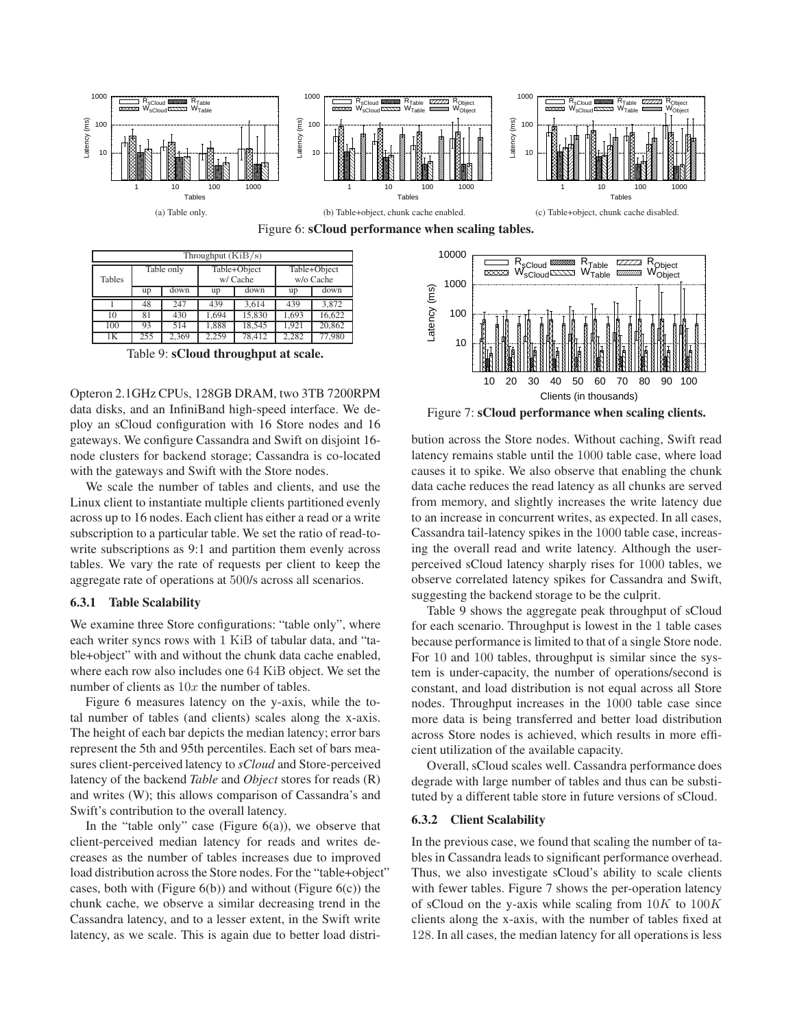



| Throughput $(KiB/s)$ |           |            |        |                          |                           |        |  |  |  |
|----------------------|-----------|------------|--------|--------------------------|---------------------------|--------|--|--|--|
| Tables               |           | Table only |        | Table+Object<br>w/ Cache | Table+Object<br>w/o Cache |        |  |  |  |
|                      | up        | down       | up     | down                     | up                        | down   |  |  |  |
|                      | 48        | 247        | 439    | 3.614                    | 439                       | 3.872  |  |  |  |
| 10                   | 430<br>81 |            | 1.694  | 15,830                   | 1.693                     | 16,622 |  |  |  |
| 100<br>514<br>93     |           | 1.888      | 18.545 | 1.921                    | 20,862                    |        |  |  |  |
| 1Κ                   | 255       | 2.369      | 2.259  | 78,412                   | 2.282                     | 77,980 |  |  |  |

Table 9: sCloud throughput at scale.

Opteron 2.1GHz CPUs, 128GB DRAM, two 3TB 7200RPM data disks, and an InfiniBand high-speed interface. We deploy an sCloud configuration with 16 Store nodes and 16 gateways. We configure Cassandra and Swift on disjoint 16 node clusters for backend storage; Cassandra is co-located with the gateways and Swift with the Store nodes.

We scale the number of tables and clients, and use the Linux client to instantiate multiple clients partitioned evenly across up to 16 nodes. Each client has either a read or a write subscription to a particular table. We set the ratio of read-towrite subscriptions as 9:1 and partition them evenly across tables. We vary the rate of requests per client to keep the aggregate rate of operations at 500/s across all scenarios.

# 6.3.1 Table Scalability

We examine three Store configurations: "table only", where each writer syncs rows with 1 KiB of tabular data, and "table+object" with and without the chunk data cache enabled, where each row also includes one 64 KiB object. We set the number of clients as  $10x$  the number of tables.

Figure 6 measures latency on the y-axis, while the total number of tables (and clients) scales along the x-axis. The height of each bar depicts the median latency; error bars represent the 5th and 95th percentiles. Each set of bars measures client-perceived latency to *sCloud* and Store-perceived latency of the backend *Table* and *Object* stores for reads (R) and writes (W); this allows comparison of Cassandra's and Swift's contribution to the overall latency.

In the "table only" case (Figure  $6(a)$ ), we observe that client-perceived median latency for reads and writes decreases as the number of tables increases due to improved load distribution across the Store nodes. For the "table+object" cases, both with (Figure  $6(b)$ ) and without (Figure  $6(c)$ ) the chunk cache, we observe a similar decreasing trend in the Cassandra latency, and to a lesser extent, in the Swift write latency, as we scale. This is again due to better load distri-



Figure 7: sCloud performance when scaling clients.

bution across the Store nodes. Without caching, Swift read latency remains stable until the 1000 table case, where load causes it to spike. We also observe that enabling the chunk data cache reduces the read latency as all chunks are served from memory, and slightly increases the write latency due to an increase in concurrent writes, as expected. In all cases, Cassandra tail-latency spikes in the 1000 table case, increasing the overall read and write latency. Although the userperceived sCloud latency sharply rises for 1000 tables, we observe correlated latency spikes for Cassandra and Swift, suggesting the backend storage to be the culprit.

Table 9 shows the aggregate peak throughput of sCloud for each scenario. Throughput is lowest in the 1 table cases because performance is limited to that of a single Store node. For 10 and 100 tables, throughput is similar since the system is under-capacity, the number of operations/second is constant, and load distribution is not equal across all Store nodes. Throughput increases in the 1000 table case since more data is being transferred and better load distribution across Store nodes is achieved, which results in more efficient utilization of the available capacity.

Overall, sCloud scales well. Cassandra performance does degrade with large number of tables and thus can be substituted by a different table store in future versions of sCloud.

### 6.3.2 Client Scalability

In the previous case, we found that scaling the number of tables in Cassandra leads to significant performance overhead. Thus, we also investigate sCloud's ability to scale clients with fewer tables. Figure 7 shows the per-operation latency of sCloud on the y-axis while scaling from  $10K$  to  $100K$ clients along the x-axis, with the number of tables fixed at 128. In all cases, the median latency for all operations is less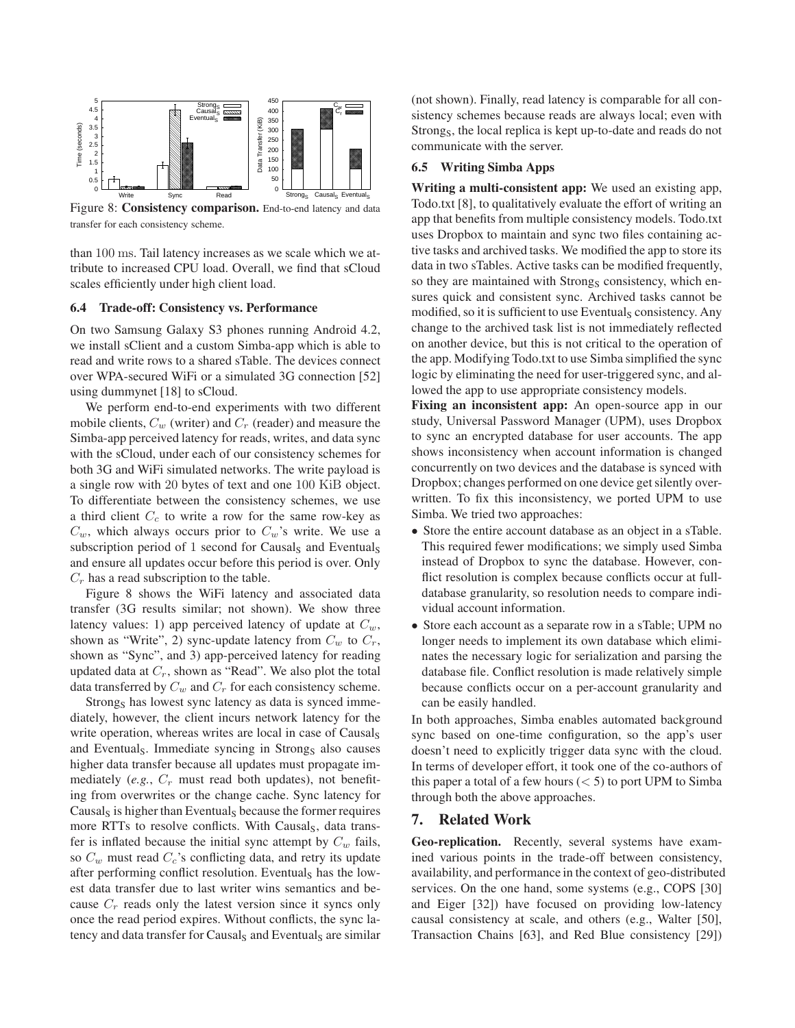

Figure 8: Consistency comparison. End-to-end latency and data transfer for each consistency scheme.

than 100 ms. Tail latency increases as we scale which we attribute to increased CPU load. Overall, we find that sCloud scales efficiently under high client load.

#### 6.4 Trade-off: Consistency vs. Performance

On two Samsung Galaxy S3 phones running Android 4.2, we install sClient and a custom Simba-app which is able to read and write rows to a shared sTable. The devices connect over WPA-secured WiFi or a simulated 3G connection [52] using dummynet [18] to sCloud.

We perform end-to-end experiments with two different mobile clients,  $C_w$  (writer) and  $C_r$  (reader) and measure the Simba-app perceived latency for reads, writes, and data sync with the sCloud, under each of our consistency schemes for both 3G and WiFi simulated networks. The write payload is a single row with 20 bytes of text and one 100 KiB object. To differentiate between the consistency schemes, we use a third client  $C_c$  to write a row for the same row-key as  $C_w$ , which always occurs prior to  $C_w$ 's write. We use a subscription period of 1 second for Causal<sub>S</sub> and Eventual<sub>S</sub> and ensure all updates occur before this period is over. Only  $C_r$  has a read subscription to the table.

Figure 8 shows the WiFi latency and associated data transfer (3G results similar; not shown). We show three latency values: 1) app perceived latency of update at  $C_w$ , shown as "Write", 2) sync-update latency from  $C_w$  to  $C_r$ , shown as "Sync", and 3) app-perceived latency for reading updated data at  $C_r$ , shown as "Read". We also plot the total data transferred by  $C_w$  and  $C_r$  for each consistency scheme.

Strong<sub>S</sub> has lowest sync latency as data is synced immediately, however, the client incurs network latency for the write operation, whereas writes are local in case of Causals and Eventual<sub>S</sub>. Immediate syncing in Strong<sub>S</sub> also causes higher data transfer because all updates must propagate immediately  $(e.g., C_r$  must read both updates), not benefiting from overwrites or the change cache. Sync latency for Causal<sub>S</sub> is higher than Eventual<sub>S</sub> because the former requires more RTTs to resolve conflicts. With Causal<sub>S</sub>, data transfer is inflated because the initial sync attempt by  $C_w$  fails, so  $C_w$  must read  $C_c$ 's conflicting data, and retry its update after performing conflict resolution. Eventuals has the lowest data transfer due to last writer wins semantics and because  $C_r$  reads only the latest version since it syncs only once the read period expires. Without conflicts, the sync latency and data transfer for Causals and Eventuals are similar

(not shown). Finally, read latency is comparable for all consistency schemes because reads are always local; even with Strong<sub>S</sub>, the local replica is kept up-to-date and reads do not communicate with the server.

#### 6.5 Writing Simba Apps

Writing a multi-consistent app: We used an existing app, Todo.txt [8], to qualitatively evaluate the effort of writing an app that benefits from multiple consistency models. Todo.txt uses Dropbox to maintain and sync two files containing active tasks and archived tasks. We modified the app to store its data in two sTables. Active tasks can be modified frequently, so they are maintained with Strongs consistency, which ensures quick and consistent sync. Archived tasks cannot be modified, so it is sufficient to use Eventuals consistency. Any change to the archived task list is not immediately reflected on another device, but this is not critical to the operation of the app. Modifying Todo.txt to use Simba simplified the sync logic by eliminating the need for user-triggered sync, and allowed the app to use appropriate consistency models.

Fixing an inconsistent app: An open-source app in our study, Universal Password Manager (UPM), uses Dropbox to sync an encrypted database for user accounts. The app shows inconsistency when account information is changed concurrently on two devices and the database is synced with Dropbox; changes performed on one device get silently overwritten. To fix this inconsistency, we ported UPM to use Simba. We tried two approaches:

- Store the entire account database as an object in a sTable. This required fewer modifications; we simply used Simba instead of Dropbox to sync the database. However, conflict resolution is complex because conflicts occur at fulldatabase granularity, so resolution needs to compare individual account information.
- Store each account as a separate row in a sTable; UPM no longer needs to implement its own database which eliminates the necessary logic for serialization and parsing the database file. Conflict resolution is made relatively simple because conflicts occur on a per-account granularity and can be easily handled.

In both approaches, Simba enables automated background sync based on one-time configuration, so the app's user doesn't need to explicitly trigger data sync with the cloud. In terms of developer effort, it took one of the co-authors of this paper a total of a few hours  $(< 5)$  to port UPM to Simba through both the above approaches.

# 7. Related Work

Geo-replication. Recently, several systems have examined various points in the trade-off between consistency, availability, and performance in the context of geo-distributed services. On the one hand, some systems (e.g., COPS [30] and Eiger [32]) have focused on providing low-latency causal consistency at scale, and others (e.g., Walter [50], Transaction Chains [63], and Red Blue consistency [29])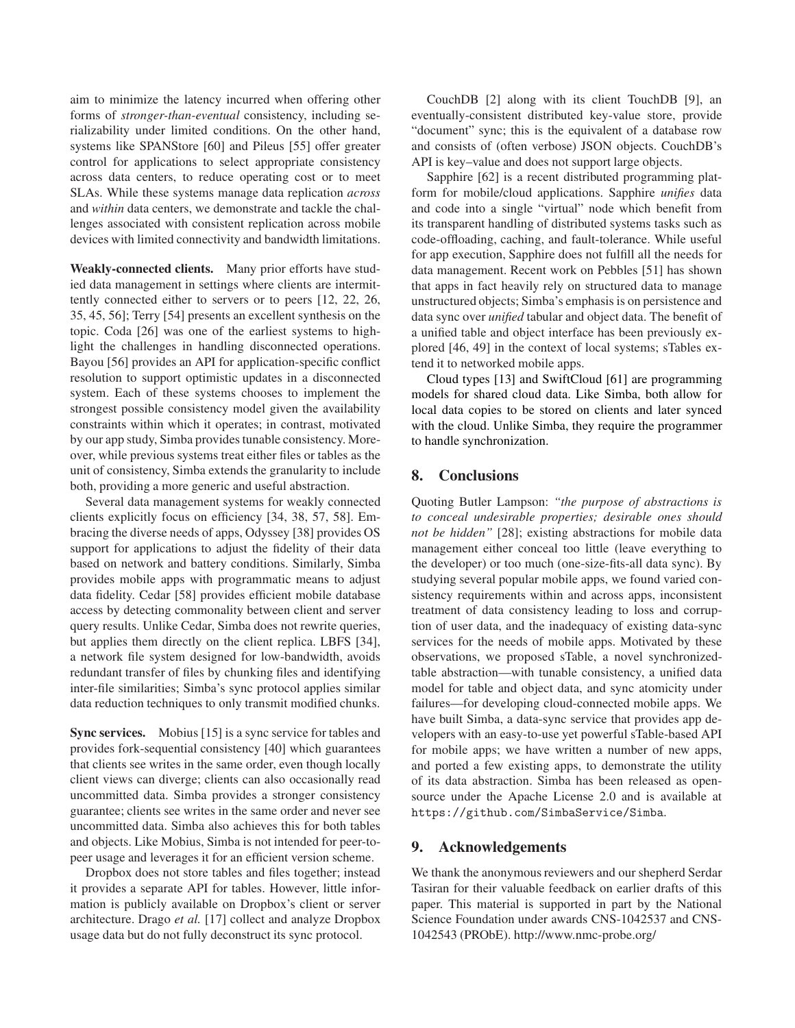aim to minimize the latency incurred when offering other forms of *stronger-than-eventual* consistency, including serializability under limited conditions. On the other hand, systems like SPANStore [60] and Pileus [55] offer greater control for applications to select appropriate consistency across data centers, to reduce operating cost or to meet SLAs. While these systems manage data replication *across* and *within* data centers, we demonstrate and tackle the challenges associated with consistent replication across mobile devices with limited connectivity and bandwidth limitations.

Weakly-connected clients. Many prior efforts have studied data management in settings where clients are intermittently connected either to servers or to peers [12, 22, 26, 35, 45, 56]; Terry [54] presents an excellent synthesis on the topic. Coda [26] was one of the earliest systems to highlight the challenges in handling disconnected operations. Bayou [56] provides an API for application-specific conflict resolution to support optimistic updates in a disconnected system. Each of these systems chooses to implement the strongest possible consistency model given the availability constraints within which it operates; in contrast, motivated by our app study, Simba provides tunable consistency. Moreover, while previous systems treat either files or tables as the unit of consistency, Simba extends the granularity to include both, providing a more generic and useful abstraction.

Several data management systems for weakly connected clients explicitly focus on efficiency [34, 38, 57, 58]. Embracing the diverse needs of apps, Odyssey [38] provides OS support for applications to adjust the fidelity of their data based on network and battery conditions. Similarly, Simba provides mobile apps with programmatic means to adjust data fidelity. Cedar [58] provides efficient mobile database access by detecting commonality between client and server query results. Unlike Cedar, Simba does not rewrite queries, but applies them directly on the client replica. LBFS [34], a network file system designed for low-bandwidth, avoids redundant transfer of files by chunking files and identifying inter-file similarities; Simba's sync protocol applies similar data reduction techniques to only transmit modified chunks.

Sync services. Mobius [15] is a sync service for tables and provides fork-sequential consistency [40] which guarantees that clients see writes in the same order, even though locally client views can diverge; clients can also occasionally read uncommitted data. Simba provides a stronger consistency guarantee; clients see writes in the same order and never see uncommitted data. Simba also achieves this for both tables and objects. Like Mobius, Simba is not intended for peer-topeer usage and leverages it for an efficient version scheme.

Dropbox does not store tables and files together; instead it provides a separate API for tables. However, little information is publicly available on Dropbox's client or server architecture. Drago *et al.* [17] collect and analyze Dropbox usage data but do not fully deconstruct its sync protocol.

CouchDB [2] along with its client TouchDB [9], an eventually-consistent distributed key-value store, provide "document" sync; this is the equivalent of a database row and consists of (often verbose) JSON objects. CouchDB's API is key–value and does not support large objects.

Sapphire [62] is a recent distributed programming platform for mobile/cloud applications. Sapphire *unifies* data and code into a single "virtual" node which benefit from its transparent handling of distributed systems tasks such as code-offloading, caching, and fault-tolerance. While useful for app execution, Sapphire does not fulfill all the needs for data management. Recent work on Pebbles [51] has shown that apps in fact heavily rely on structured data to manage unstructured objects; Simba's emphasis is on persistence and data sync over *unified* tabular and object data. The benefit of a unified table and object interface has been previously explored [46, 49] in the context of local systems; sTables extend it to networked mobile apps.

Cloud types [13] and SwiftCloud [61] are programming models for shared cloud data. Like Simba, both allow for local data copies to be stored on clients and later synced with the cloud. Unlike Simba, they require the programmer to handle synchronization.

# 8. Conclusions

Quoting Butler Lampson: *"the purpose of abstractions is to conceal undesirable properties; desirable ones should not be hidden"* [28]; existing abstractions for mobile data management either conceal too little (leave everything to the developer) or too much (one-size-fits-all data sync). By studying several popular mobile apps, we found varied consistency requirements within and across apps, inconsistent treatment of data consistency leading to loss and corruption of user data, and the inadequacy of existing data-sync services for the needs of mobile apps. Motivated by these observations, we proposed sTable, a novel synchronizedtable abstraction—with tunable consistency, a unified data model for table and object data, and sync atomicity under failures—for developing cloud-connected mobile apps. We have built Simba, a data-sync service that provides app developers with an easy-to-use yet powerful sTable-based API for mobile apps; we have written a number of new apps, and ported a few existing apps, to demonstrate the utility of its data abstraction. Simba has been released as opensource under the Apache License 2.0 and is available at https://github.com/SimbaService/Simba.

# 9. Acknowledgements

We thank the anonymous reviewers and our shepherd Serdar Tasiran for their valuable feedback on earlier drafts of this paper. This material is supported in part by the National Science Foundation under awards CNS-1042537 and CNS-1042543 (PRObE). http://www.nmc-probe.org/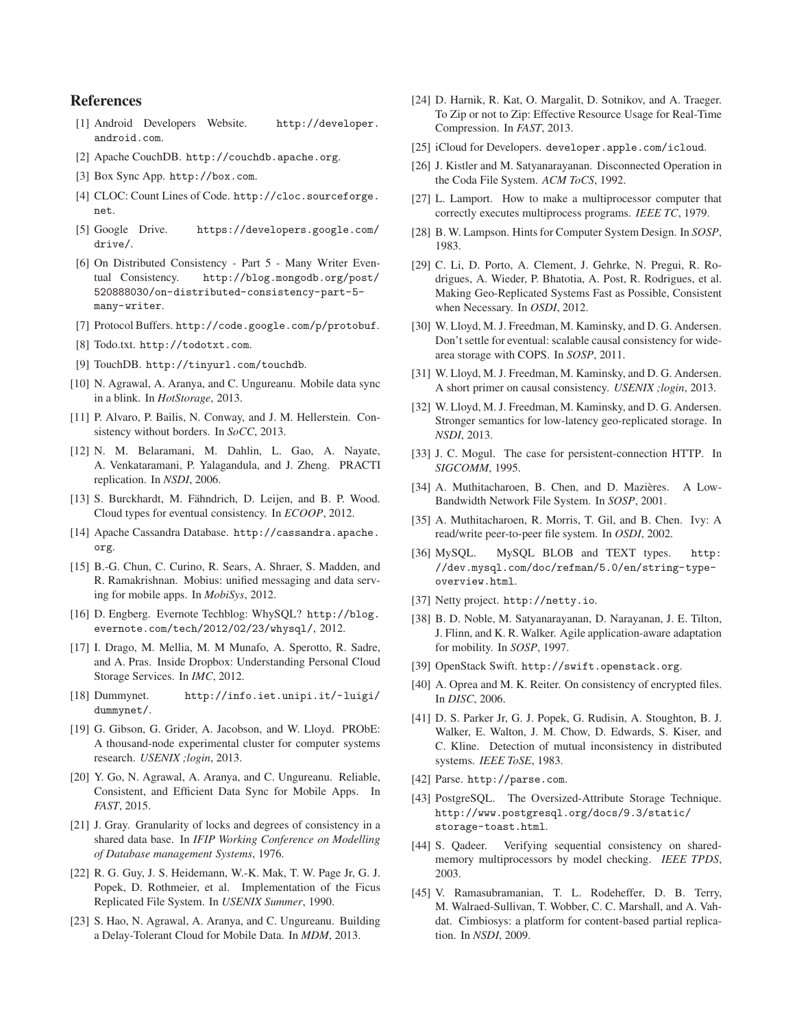# References

- [1] Android Developers Website. http://developer. android.com.
- [2] Apache CouchDB. http://couchdb.apache.org.
- [3] Box Sync App. http://box.com.
- [4] CLOC: Count Lines of Code. http://cloc.sourceforge. net.
- [5] Google Drive. https://developers.google.com/ drive/.
- [6] On Distributed Consistency Part 5 Many Writer Eventual Consistency. http://blog.mongodb.org/post/ 520888030/on-distributed-consistency-part-5 many-writer.
- [7] Protocol Buffers. http://code.google.com/p/protobuf.
- [8] Todo.txt. http://todotxt.com.
- [9] TouchDB. http://tinyurl.com/touchdb.
- [10] N. Agrawal, A. Aranya, and C. Ungureanu. Mobile data sync in a blink. In *HotStorage*, 2013.
- [11] P. Alvaro, P. Bailis, N. Conway, and J. M. Hellerstein. Consistency without borders. In *SoCC*, 2013.
- [12] N. M. Belaramani, M. Dahlin, L. Gao, A. Nayate, A. Venkataramani, P. Yalagandula, and J. Zheng. PRACTI replication. In *NSDI*, 2006.
- [13] S. Burckhardt, M. Fähndrich, D. Leijen, and B. P. Wood. Cloud types for eventual consistency. In *ECOOP*, 2012.
- [14] Apache Cassandra Database. http://cassandra.apache. org.
- [15] B.-G. Chun, C. Curino, R. Sears, A. Shraer, S. Madden, and R. Ramakrishnan. Mobius: unified messaging and data serving for mobile apps. In *MobiSys*, 2012.
- [16] D. Engberg. Evernote Techblog: WhySQL? http://blog. evernote.com/tech/2012/02/23/whysql/, 2012.
- [17] I. Drago, M. Mellia, M. M Munafo, A. Sperotto, R. Sadre, and A. Pras. Inside Dropbox: Understanding Personal Cloud Storage Services. In *IMC*, 2012.
- [18] Dummynet. http://info.iet.unipi.it/~luigi/ dummynet/.
- [19] G. Gibson, G. Grider, A. Jacobson, and W. Lloyd. PRObE: A thousand-node experimental cluster for computer systems research. *USENIX ;login*, 2013.
- [20] Y. Go, N. Agrawal, A. Aranya, and C. Ungureanu. Reliable, Consistent, and Efficient Data Sync for Mobile Apps. In *FAST*, 2015.
- [21] J. Gray. Granularity of locks and degrees of consistency in a shared data base. In *IFIP Working Conference on Modelling of Database management Systems*, 1976.
- [22] R. G. Guy, J. S. Heidemann, W.-K. Mak, T. W. Page Jr, G. J. Popek, D. Rothmeier, et al. Implementation of the Ficus Replicated File System. In *USENIX Summer*, 1990.
- [23] S. Hao, N. Agrawal, A. Aranya, and C. Ungureanu. Building a Delay-Tolerant Cloud for Mobile Data. In *MDM*, 2013.
- [24] D. Harnik, R. Kat, O. Margalit, D. Sotnikov, and A. Traeger. To Zip or not to Zip: Effective Resource Usage for Real-Time Compression. In *FAST*, 2013.
- [25] iCloud for Developers. developer.apple.com/icloud.
- [26] J. Kistler and M. Satyanarayanan. Disconnected Operation in the Coda File System. *ACM ToCS*, 1992.
- [27] L. Lamport. How to make a multiprocessor computer that correctly executes multiprocess programs. *IEEE TC*, 1979.
- [28] B. W. Lampson. Hints for Computer System Design. In *SOSP*, 1983.
- [29] C. Li, D. Porto, A. Clement, J. Gehrke, N. Pregui, R. Rodrigues, A. Wieder, P. Bhatotia, A. Post, R. Rodrigues, et al. Making Geo-Replicated Systems Fast as Possible, Consistent when Necessary. In *OSDI*, 2012.
- [30] W. Lloyd, M. J. Freedman, M. Kaminsky, and D. G. Andersen. Don't settle for eventual: scalable causal consistency for widearea storage with COPS. In *SOSP*, 2011.
- [31] W. Lloyd, M. J. Freedman, M. Kaminsky, and D. G. Andersen. A short primer on causal consistency. *USENIX ;login*, 2013.
- [32] W. Lloyd, M. J. Freedman, M. Kaminsky, and D. G. Andersen. Stronger semantics for low-latency geo-replicated storage. In *NSDI*, 2013.
- [33] J. C. Mogul. The case for persistent-connection HTTP. In *SIGCOMM*, 1995.
- [34] A. Muthitacharoen, B. Chen, and D. Mazières. A Low-Bandwidth Network File System. In *SOSP*, 2001.
- [35] A. Muthitacharoen, R. Morris, T. Gil, and B. Chen. Ivy: A read/write peer-to-peer file system. In *OSDI*, 2002.
- [36] MySQL. MySQL BLOB and TEXT types. http: //dev.mysql.com/doc/refman/5.0/en/string-typeoverview.html.
- [37] Netty project. http://netty.io.
- [38] B. D. Noble, M. Satyanarayanan, D. Narayanan, J. E. Tilton, J. Flinn, and K. R. Walker. Agile application-aware adaptation for mobility. In *SOSP*, 1997.
- [39] OpenStack Swift. http://swift.openstack.org.
- [40] A. Oprea and M. K. Reiter. On consistency of encrypted files. In *DISC*, 2006.
- [41] D. S. Parker Jr, G. J. Popek, G. Rudisin, A. Stoughton, B. J. Walker, E. Walton, J. M. Chow, D. Edwards, S. Kiser, and C. Kline. Detection of mutual inconsistency in distributed systems. *IEEE ToSE*, 1983.
- [42] Parse. http://parse.com.
- [43] PostgreSQL. The Oversized-Attribute Storage Technique. http://www.postgresql.org/docs/9.3/static/ storage-toast.html.
- [44] S. Qadeer. Verifying sequential consistency on sharedmemory multiprocessors by model checking. *IEEE TPDS*, 2003.
- [45] V. Ramasubramanian, T. L. Rodeheffer, D. B. Terry, M. Walraed-Sullivan, T. Wobber, C. C. Marshall, and A. Vahdat. Cimbiosys: a platform for content-based partial replication. In *NSDI*, 2009.